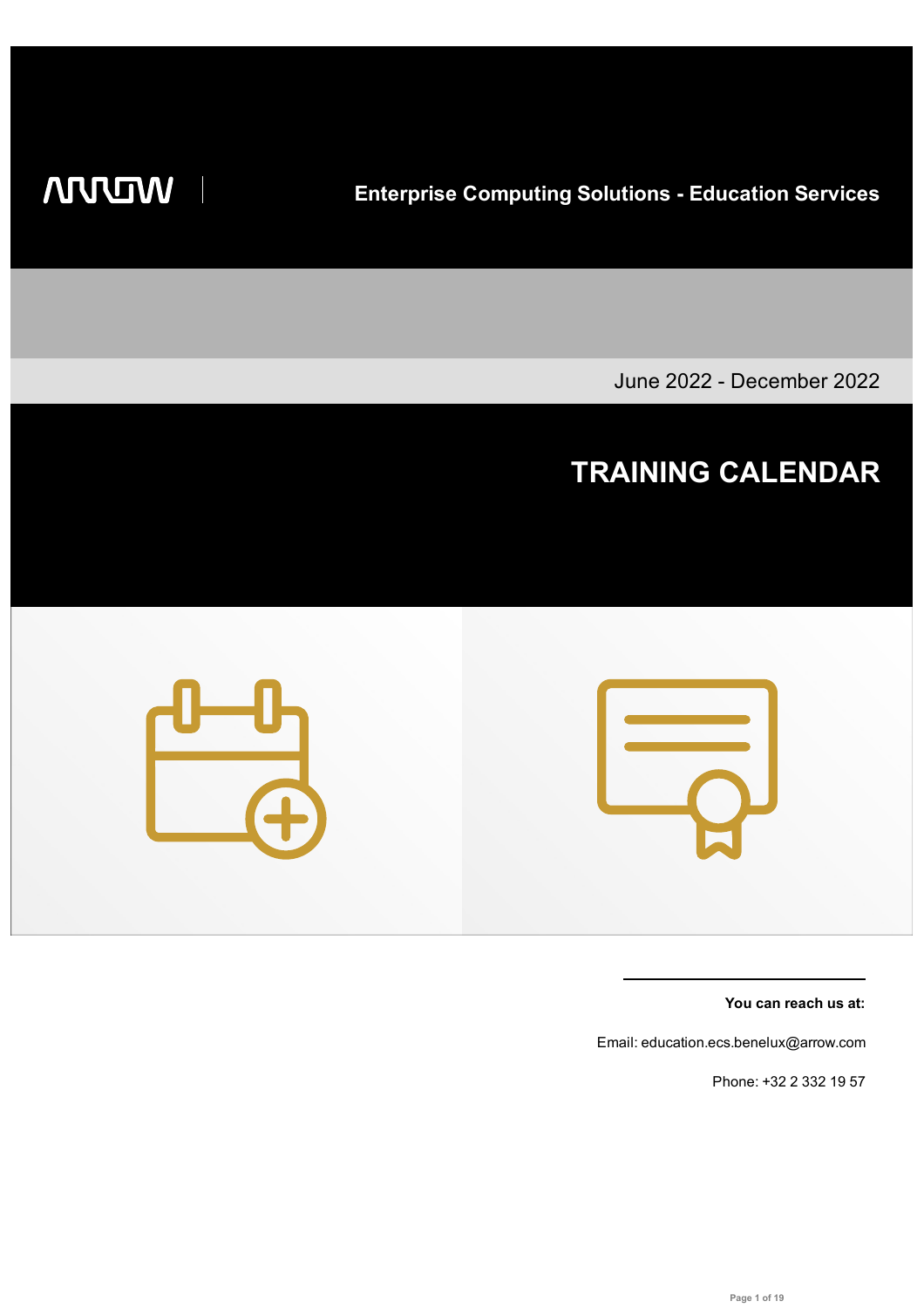**WILLIAM** 

**Enterprise Computing Solutions - Education Services**

June 2022 - December 2022

# **TRAINING CALENDAR**



**You can reach us at:**

Email: education.ecs.benelux@arrow.com

Phone: +32 2 332 19 57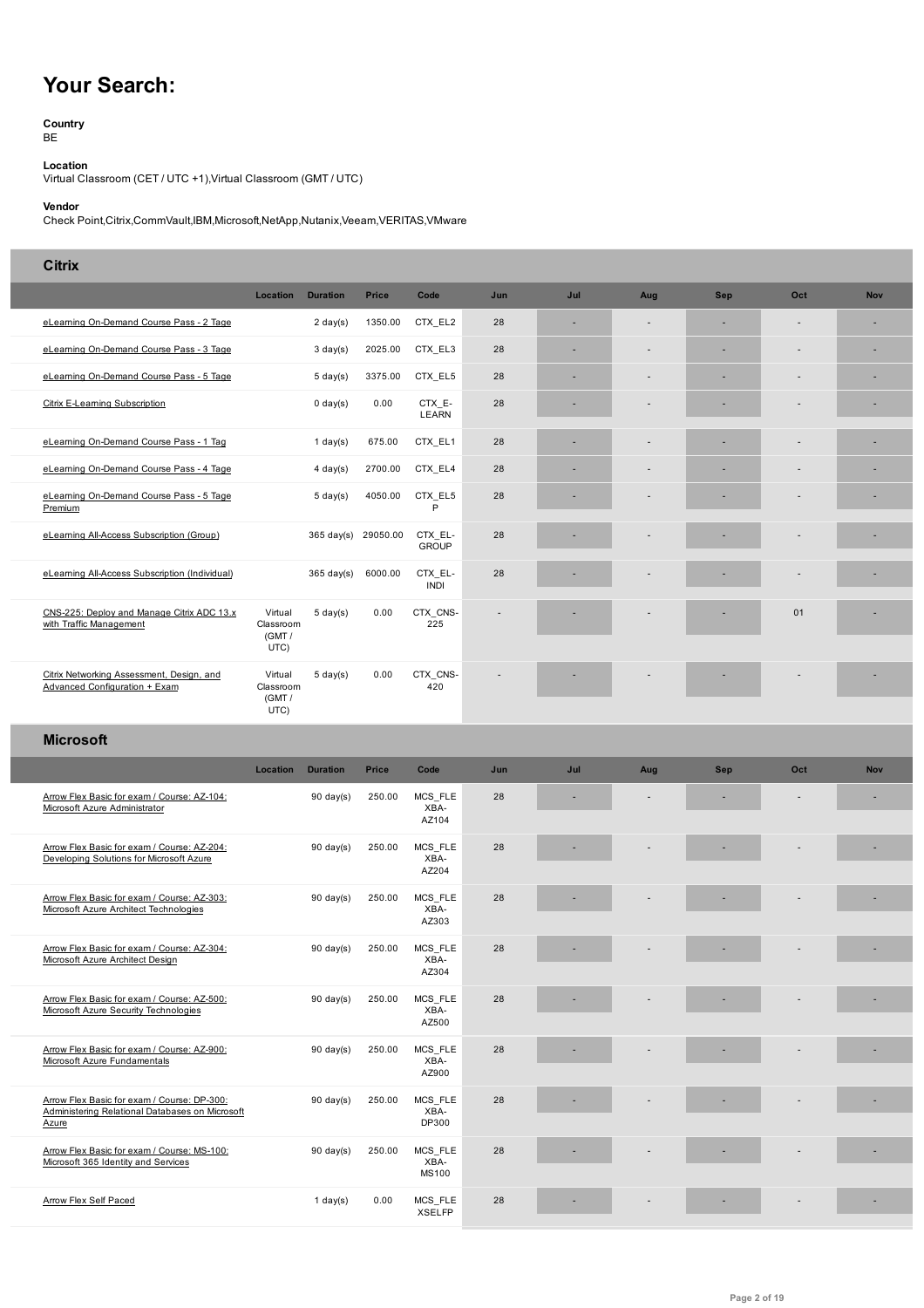# **Your Search:**

#### **Country** BE

**Location** Virtual Classroom (CET / UTC +1),Virtual Classroom (GMT / UTC)

### **Vendor**

Check Point,Citrix,CommVault,IBM,Microsoft,NetApp,Nutanix,Veeam,VERITAS,VMware

## **Citrix**

|                                                                                         | Location                               | <b>Duration</b>      | <b>Price</b> | Code                     | Jun | Jul | Aug            | <b>Sep</b> | Oct | <b>Nov</b> |
|-----------------------------------------------------------------------------------------|----------------------------------------|----------------------|--------------|--------------------------|-----|-----|----------------|------------|-----|------------|
| eLearning On-Demand Course Pass - 2 Tage                                                |                                        | $2 \text{ day}(s)$   | 1350.00      | CTX EL2                  | 28  | ٠   | $\overline{a}$ | ٠          | ÷   |            |
| eLearning On-Demand Course Pass - 3 Tage                                                |                                        | $3 \text{ day}(s)$   | 2025.00      | CTX_EL3                  | 28  | ×,  |                |            |     |            |
| eLearning On-Demand Course Pass - 5 Tage                                                |                                        | $5 \text{ day}(s)$   | 3375.00      | CTX EL5                  | 28  | ٠   |                |            | ٠   |            |
| Citrix E-Learning Subscription                                                          |                                        | $0 \text{ day}(s)$   | 0.00         | CTX_E-<br><b>LEARN</b>   | 28  |     |                |            |     |            |
| eLearning On-Demand Course Pass - 1 Tag                                                 |                                        | 1 day $(s)$          | 675.00       | CTX_EL1                  | 28  | ×,  |                |            | ÷   | ۰          |
| eLearning On-Demand Course Pass - 4 Tage                                                |                                        | $4 \text{ day}(s)$   | 2700.00      | CTX EL4                  | 28  | ٠   |                |            |     |            |
| eLearning On-Demand Course Pass - 5 Tage<br>Premium                                     |                                        | $5 \text{ day}(s)$   | 4050.00      | CTX EL5<br>P             | 28  |     |                |            |     |            |
| eLearning All-Access Subscription (Group)                                               |                                        | $365 \text{ day(s)}$ | 29050.00     | CTX EL-<br><b>GROUP</b>  | 28  |     |                |            |     |            |
| eLearning All-Access Subscription (Individual)                                          |                                        | $365 \text{ day(s)}$ | 6000.00      | CTX EL-<br><b>INDI</b>   | 28  |     |                |            |     |            |
| CNS-225: Deploy and Manage Citrix ADC 13.x<br>with Traffic Management                   | Virtual<br>Classroom<br>(GMT/<br>UTC)  | $5 \text{ day}(s)$   | 0.00         | CTX CNS-<br>225          |     |     |                |            | 01  |            |
| Citrix Networking Assessment, Design, and<br>Advanced Configuration + Exam              | Virtual<br>Classroom<br>(GMT /<br>UTC) | $5 \text{ day}(s)$   | 0.00         | CTX CNS-<br>420          |     |     |                |            | ۰   |            |
| <b>Microsoft</b>                                                                        |                                        |                      |              |                          |     |     |                |            |     |            |
|                                                                                         | Location                               | <b>Duration</b>      | <b>Price</b> | Code                     | Jun | Jul | Aug            | <b>Sep</b> | Oct | <b>Nov</b> |
| Arrow Flex Basic for exam / Course: AZ-104:                                             |                                        | $90 \text{ day}(s)$  | 250.00       | MCS FLE                  | 28  |     |                |            |     |            |
| Microsoft Azure Administrator                                                           |                                        |                      |              | XBA-<br>AZ104            |     |     |                |            |     |            |
| Arrow Flex Basic for exam / Course: AZ-204:<br>Developing Solutions for Microsoft Azure |                                        | $90 \text{ day}(s)$  | 250.00       | MCS FLE<br>XBA-<br>AZ204 | 28  |     |                |            |     |            |
| Arrow Flex Basic for exam / Course: AZ-303:<br>Microsoft Azure Architect Technologies   |                                        | $90 \text{ day(s)}$  | 250.00       | MCS FLE<br>XBA-<br>AZ303 | 28  |     |                |            |     |            |

|                                                                                                         |                     |        | $11 - 10 - 1$                   |    |  |  |  |
|---------------------------------------------------------------------------------------------------------|---------------------|--------|---------------------------------|----|--|--|--|
| Arrow Flex Basic for exam / Course: AZ-204:<br>Developing Solutions for Microsoft Azure                 | $90 \text{ day(s)}$ | 250.00 | MCS FLE<br>XBA-<br>AZ204        | 28 |  |  |  |
| Arrow Flex Basic for exam / Course: AZ-303:<br>Microsoft Azure Architect Technologies                   | $90 \text{ day}(s)$ | 250.00 | MCS_FLE<br>XBA-<br>AZ303        | 28 |  |  |  |
| Arrow Flex Basic for exam / Course: AZ-304:<br>Microsoft Azure Architect Design                         | $90 \text{ day}(s)$ | 250.00 | MCS FLE<br>XBA-<br>AZ304        | 28 |  |  |  |
| Arrow Flex Basic for exam / Course: AZ-500:<br>Microsoft Azure Security Technologies                    | $90 \text{ day(s)}$ | 250.00 | MCS_FLE<br>XBA-<br>AZ500        | 28 |  |  |  |
| Arrow Flex Basic for exam / Course: AZ-900:<br>Microsoft Azure Fundamentals                             | $90 \text{ day(s)}$ | 250.00 | MCS_FLE<br>XBA-<br>AZ900        | 28 |  |  |  |
| Arrow Flex Basic for exam / Course: DP-300:<br>Administering Relational Databases on Microsoft<br>Azure | $90 \text{ day}(s)$ | 250.00 | MCS FLE<br>XBA-<br>DP300        | 28 |  |  |  |
| Arrow Flex Basic for exam / Course: MS-100:<br>Microsoft 365 Identity and Services                      | $90 \text{ day(s)}$ | 250.00 | MCS FLE<br>XBA-<br><b>MS100</b> | 28 |  |  |  |
| Arrow Flex Self Paced                                                                                   | 1 day $(s)$         | 0.00   | MCS FLE<br><b>XSELFP</b>        | 28 |  |  |  |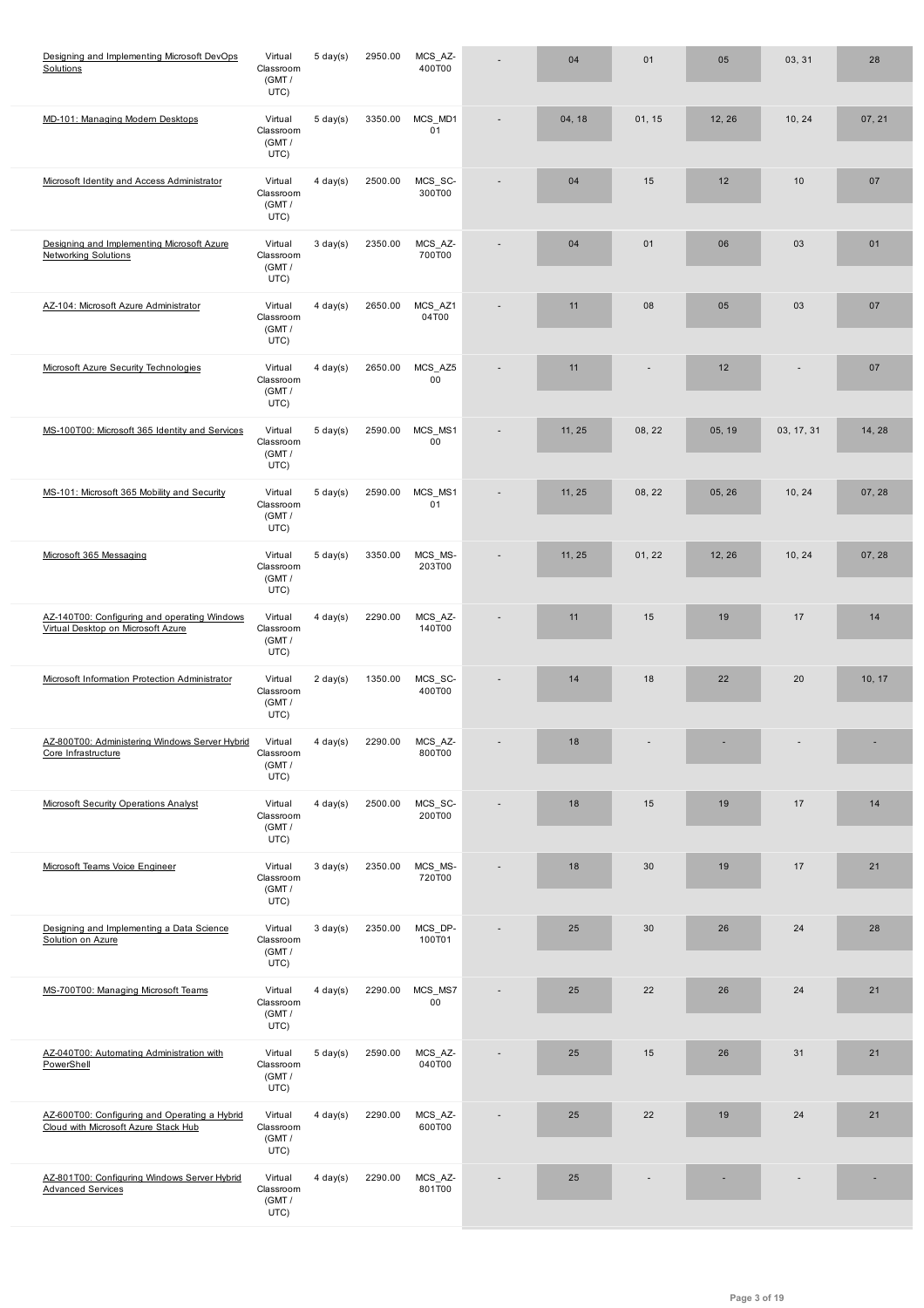|                                                                                       | (GMT /<br>UTC)                         |                    |         |                   |        |        |        |            |        |
|---------------------------------------------------------------------------------------|----------------------------------------|--------------------|---------|-------------------|--------|--------|--------|------------|--------|
| MD-101: Managing Modern Desktops                                                      | Virtual<br>Classroom<br>(GMT /<br>UTC) | $5 \text{ day}(s)$ | 3350.00 | MCS_MD1<br>01     | 04, 18 | 01, 15 | 12, 26 | 10, 24     | 07, 21 |
| Microsoft Identity and Access Administrator                                           | Virtual<br>Classroom<br>(GMT/<br>UTC)  | $4$ day(s)         | 2500.00 | MCS_SC-<br>300T00 | 04     | 15     | 12     | 10         | 07     |
| Designing and Implementing Microsoft Azure<br><b>Networking Solutions</b>             | Virtual<br>Classroom<br>(GMT/<br>UTC)  | $3$ day(s)         | 2350.00 | MCS_AZ-<br>700T00 | 04     | 01     | 06     | 03         | 01     |
| AZ-104: Microsoft Azure Administrator                                                 | Virtual<br>Classroom<br>(GMT/<br>UTC)  | $4$ day(s)         | 2650.00 | MCS_AZ1<br>04T00  | 11     | 08     | 05     | 03         | 07     |
| Microsoft Azure Security Technologies                                                 | Virtual<br>Classroom<br>(GMT /<br>UTC) | $4$ day(s)         | 2650.00 | MCS_AZ5<br>00     | 11     |        | 12     |            | 07     |
| MS-100T00: Microsoft 365 Identity and Services                                        | Virtual<br>Classroom<br>(GMT /<br>UTC) | $5 \text{ day}(s)$ | 2590.00 | MCS MS1<br>00     | 11, 25 | 08, 22 | 05, 19 | 03, 17, 31 | 14, 28 |
| MS-101: Microsoft 365 Mobility and Security                                           | Virtual<br>Classroom<br>(GMT/<br>UTC)  | $5 \text{ day}(s)$ | 2590.00 | MCS MS1<br>01     | 11, 25 | 08, 22 | 05, 26 | 10, 24     | 07, 28 |
| Microsoft 365 Messaging                                                               | Virtual<br>Classroom<br>(GMT /<br>UTC) | $5 \text{ day}(s)$ | 3350.00 | MCS_MS-<br>203T00 | 11, 25 | 01, 22 | 12, 26 | 10, 24     | 07, 28 |
| AZ-140T00: Configuring and operating Windows<br>Virtual Desktop on Microsoft Azure    | Virtual<br>Classroom<br>(GMT /<br>UTC) | $4$ day(s)         | 2290.00 | MCS_AZ-<br>140T00 | 11     | 15     | 19     | 17         | 14     |
| Microsoft Information Protection Administrator                                        | Virtual<br>Classroom<br>(GMT/<br>UTC)  | $2 \text{ day}(s)$ | 1350.00 | MCS_SC-<br>400T00 | 14     | 18     | 22     | 20         | 10, 17 |
| AZ-800T00: Administering Windows Server Hybrid<br>Core Infrastructure                 | Virtual<br>Classroom<br>(GMT/<br>UTC)  | $4$ day(s)         | 2290.00 | MCS_AZ-<br>800T00 | 18     |        |        |            |        |
| <b>Microsoft Security Operations Analyst</b>                                          | Virtual<br>Classroom<br>(GMT /<br>UTC) | $4 \text{ day}(s)$ | 2500.00 | MCS_SC-<br>200T00 | 18     | 15     | 19     | 17         | 14     |
| Microsoft Teams Voice Engineer                                                        | Virtual<br>Classroom<br>(GMT/<br>UTC)  | $3 \text{ day}(s)$ | 2350.00 | MCS_MS-<br>720T00 | 18     | 30     | 19     | 17         | 21     |
| Designing and Implementing a Data Science<br>Solution on Azure                        | Virtual<br>Classroom<br>(GMT /<br>UTC) | $3 \text{ day}(s)$ | 2350.00 | MCS_DP-<br>100T01 | 25     | 30     | 26     | 24         | 28     |
| MS-700T00: Managing Microsoft Teams                                                   | Virtual<br>Classroom<br>(GMT /<br>UTC) | $4$ day(s)         | 2290.00 | MCS_MS7<br>00     | 25     | 22     | 26     | 24         | 21     |
| AZ-040T00: Automating Administration with<br>PowerShell                               | Virtual<br>Classroom<br>(GMT /<br>UTC) | $5 \text{ day}(s)$ | 2590.00 | MCS_AZ-<br>040T00 | 25     | 15     | 26     | 31         | 21     |
| AZ-600T00: Configuring and Operating a Hybrid<br>Cloud with Microsoft Azure Stack Hub | Virtual<br>Classroom<br>(GMT/<br>UTC)  | $4$ day(s)         | 2290.00 | MCS_AZ-<br>600T00 | 25     | 22     | 19     | 24         | 21     |
| AZ-801T00: Configuring Windows Server Hybrid<br><b>Advanced Services</b>              | Virtual<br>Classroom<br>(GMT /<br>UTC) | $4$ day(s)         | 2290.00 | MCS_AZ-<br>801T00 | 25     |        |        |            |        |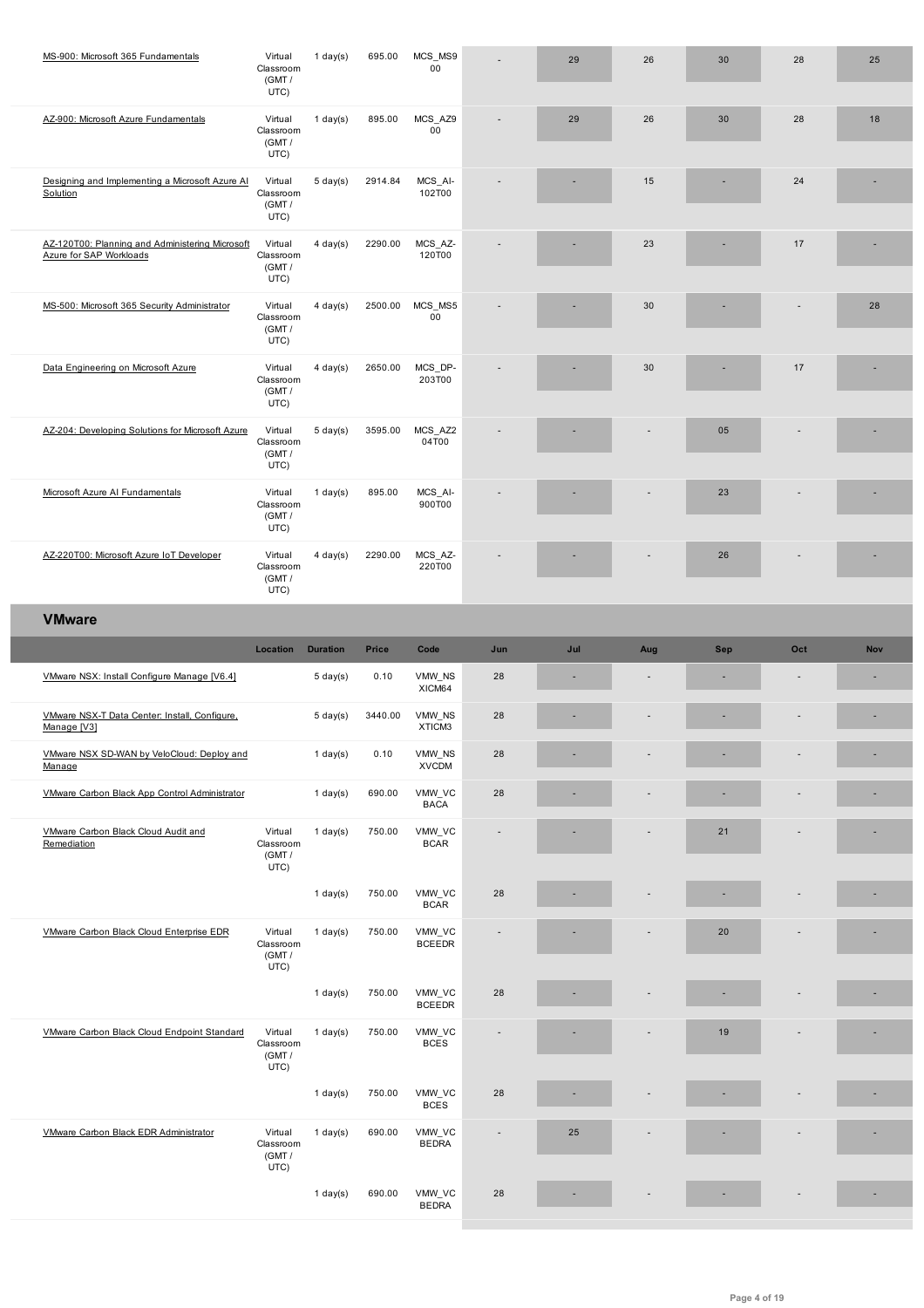|                                                                            | (GMT /<br>UTC)                         |                    |              |                         |                |     |                          |            |              |     |
|----------------------------------------------------------------------------|----------------------------------------|--------------------|--------------|-------------------------|----------------|-----|--------------------------|------------|--------------|-----|
| AZ-900: Microsoft Azure Fundamentals                                       | Virtual<br>Classroom<br>(GMT /<br>UTC) | $1$ day(s)         | 895.00       | MCS_AZ9<br>$00\,$       |                | 29  | 26                       | 30         | 28           | 18  |
| Designing and Implementing a Microsoft Azure AI<br>Solution                | Virtual<br>Classroom<br>(GMT/<br>UTC)  | $5 \text{ day}(s)$ | 2914.84      | MCS_AI-<br>102T00       |                |     | 15                       |            | 24           |     |
| AZ-120T00: Planning and Administering Microsoft<br>Azure for SAP Workloads | Virtual<br>Classroom<br>(GMT /<br>UTC) | $4 \text{ day}(s)$ | 2290.00      | MCS_AZ-<br>120T00       |                |     | 23                       |            | 17           |     |
| MS-500: Microsoft 365 Security Administrator                               | Virtual<br>Classroom<br>(GMT /<br>UTC) | $4 \text{ day}(s)$ | 2500.00      | MCS_MS5<br>$00\,$       |                |     | 30                       |            |              | 28  |
| Data Engineering on Microsoft Azure                                        | Virtual<br>Classroom<br>(GMT/<br>UTC)  | $4$ day(s)         | 2650.00      | MCS_DP-<br>203T00       |                |     | 30                       |            | 17           |     |
| AZ-204: Developing Solutions for Microsoft Azure                           | Virtual<br>Classroom<br>(GMT /<br>UTC) | $5 \text{ day}(s)$ | 3595.00      | MCS_AZ2<br>04T00        |                |     | ٠                        | 05         | ٠            |     |
| Microsoft Azure AI Fundamentals                                            | Virtual<br>Classroom<br>(GMT /<br>UTC) | $1$ day(s)         | 895.00       | MCS_AI-<br>900T00       |                |     |                          | 23         |              |     |
| AZ-220T00: Microsoft Azure IoT Developer                                   | Virtual<br>Classroom<br>(GMT/<br>UTC)  | $4 \text{ day}(s)$ | 2290.00      | MCS_AZ-<br>220T00       |                |     |                          | 26         |              |     |
| <b>VMware</b>                                                              |                                        |                    |              |                         |                |     |                          |            |              |     |
|                                                                            |                                        |                    |              |                         |                |     |                          |            |              |     |
|                                                                            | Location                               | <b>Duration</b>    | <b>Price</b> | Code                    | Jun            | Jul | Aug                      | <b>Sep</b> | Oct          | Nov |
| VMware NSX: Install Configure Manage [V6.4]                                |                                        | $5 \,$ day $(s)$   | 0.10         | VMW_NS<br>XICM64        | 28             | ٠   | $\overline{\phantom{a}}$ | ٠          | $\centerdot$ | ×.  |
| VMware NSX-T Data Center: Install, Configure,<br>Manage [V3]               |                                        | $5 \text{ day}(s)$ | 3440.00      | VMW NS<br>XTICM3        | 28             |     |                          |            |              |     |
| VMware NSX SD-WAN by VeloCloud: Deploy and<br>Manage                       |                                        | $1$ day(s)         | 0.10         | VMW_NS<br><b>XVCDM</b>  | 28             |     |                          |            |              |     |
| VMware Carbon Black App Control Administrator                              |                                        | $1$ day(s)         | 690.00       | VMW_VC<br><b>BACA</b>   | 28             |     |                          |            |              |     |
| VMware Carbon Black Cloud Audit and<br>Remediation                         | Virtual<br>Classroom<br>(GMT /<br>UTC) | $1$ day(s)         | 750.00       | VMW_VC<br><b>BCAR</b>   |                |     |                          | 21         |              |     |
|                                                                            |                                        | $1$ day(s)         | 750.00       | VMW_VC<br><b>BCAR</b>   | 28             |     |                          |            |              |     |
| VMware Carbon Black Cloud Enterprise EDR                                   | Virtual<br>Classroom<br>(GMT /<br>UTC) | $1$ day $(s)$      | 750.00       | VMW_VC<br><b>BCEEDR</b> |                |     |                          | 20         |              |     |
|                                                                            |                                        | $1$ day(s)         | 750.00       | VMW_VC<br><b>BCEEDR</b> | 28             |     |                          |            |              |     |
| VMware Carbon Black Cloud Endpoint Standard                                | Virtual<br>Classroom<br>(GMT/<br>UTC)  | $1$ day(s)         | 750.00       | VMW_VC<br><b>BCES</b>   |                |     |                          | 19         |              |     |
|                                                                            |                                        | $1$ day(s)         | 750.00       | VMW_VC<br><b>BCES</b>   | 28             | ä,  |                          |            |              |     |
| VMware Carbon Black EDR Administrator                                      | Virtual<br>Classroom<br>(GMT/<br>UTC)  | $1$ day(s)         | 690.00       | VMW_VC<br><b>BEDRA</b>  | $\overline{a}$ | 25  |                          |            |              |     |

I

I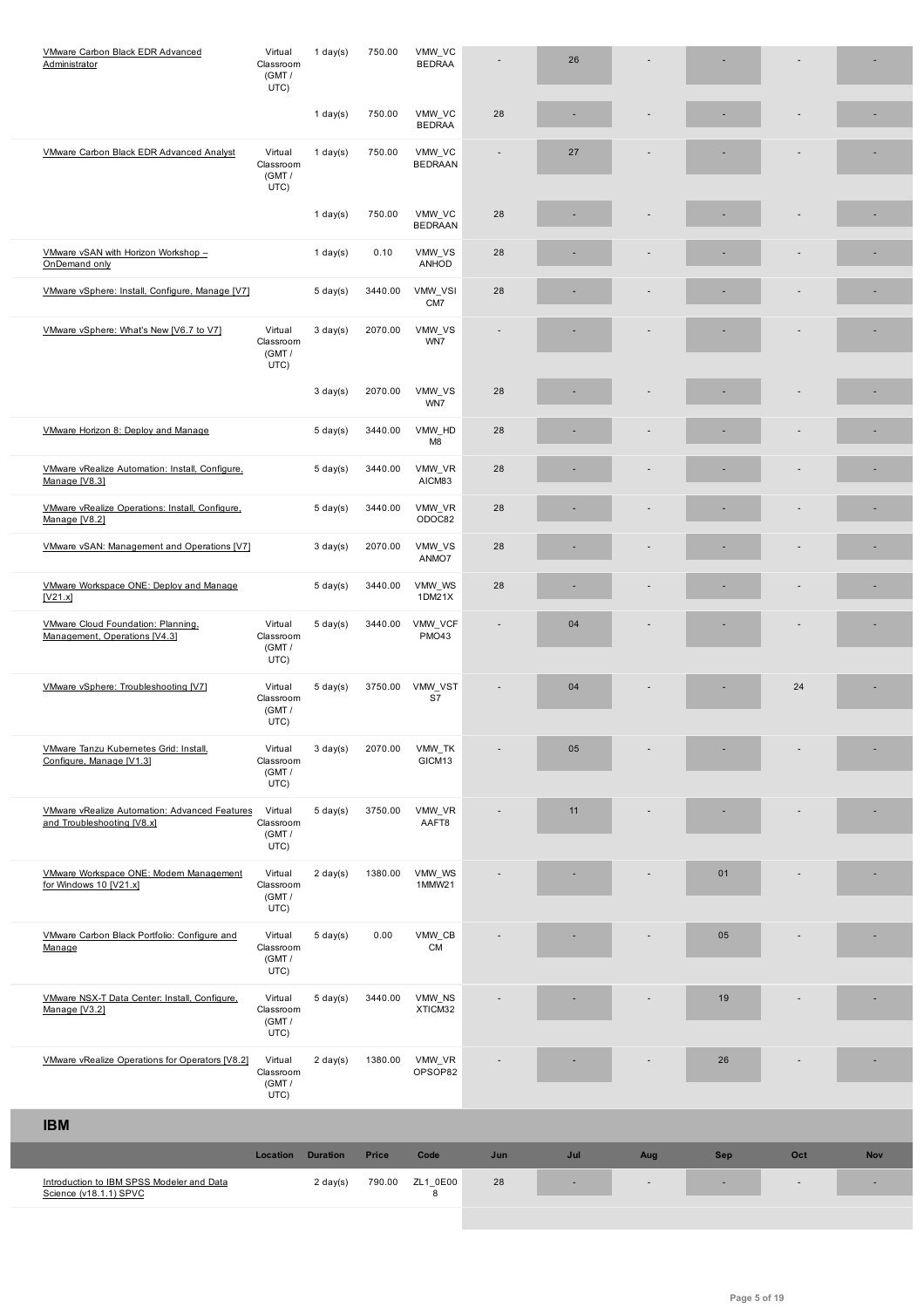|                                                                                    | UTC)                                   |                    |         |                          |     |     |                          |            |     |            |
|------------------------------------------------------------------------------------|----------------------------------------|--------------------|---------|--------------------------|-----|-----|--------------------------|------------|-----|------------|
|                                                                                    |                                        | $1$ day(s)         | 750.00  | VMW_VC<br><b>BEDRAA</b>  | 28  |     |                          |            |     |            |
| VMware Carbon Black EDR Advanced Analyst                                           | Virtual<br>Classroom<br>(GMT /<br>UTC) | 1 day $(s)$        | 750.00  | VMW_VC<br><b>BEDRAAN</b> |     | 27  |                          |            |     |            |
|                                                                                    |                                        | $1$ day(s)         | 750.00  | VMW_VC<br><b>BEDRAAN</b> | 28  |     |                          |            |     |            |
| VMware vSAN with Horizon Workshop -<br>OnDemand only                               |                                        | $1$ day(s)         | 0.10    | VMW_VS<br>ANHOD          | 28  |     |                          |            |     |            |
| VMware vSphere: Install, Configure, Manage [V7]                                    |                                        | $5 \text{ day}(s)$ | 3440.00 | VMW_VSI<br>CM7           | 28  |     |                          |            |     |            |
| VMware vSphere: What's New [V6.7 to V7]                                            | Virtual<br>Classroom<br>(GMT /<br>UTC) | $3 \text{ day}(s)$ | 2070.00 | VMW_VS<br>WN7            |     |     |                          |            |     |            |
|                                                                                    |                                        | $3 \text{ day}(s)$ | 2070.00 | VMW_VS<br>WN7            | 28  |     |                          |            |     |            |
| VMware Horizon 8: Deploy and Manage                                                |                                        | $5 \text{ day}(s)$ | 3440.00 | VMW_HD<br>M <sub>8</sub> | 28  |     |                          |            |     |            |
| VMware vRealize Automation: Install, Configure,<br>Manage [V8.3]                   |                                        | $5 \text{ day}(s)$ | 3440.00 | VMW_VR<br>AICM83         | 28  |     |                          |            |     |            |
| VMware vRealize Operations: Install, Configure,<br>Manage [V8.2]                   |                                        | $5 \text{ day}(s)$ | 3440.00 | VMW_VR<br>ODOC82         | 28  |     |                          |            |     |            |
| VMware vSAN: Management and Operations [V7]                                        |                                        | $3 \text{ day}(s)$ | 2070.00 | VMW_VS<br>ANMO7          | 28  |     |                          |            |     |            |
| VMware Workspace ONE: Deploy and Manage<br>[V21.x]                                 |                                        | $5 \text{ day}(s)$ | 3440.00 | VMW_WS<br>1DM21X         | 28  |     |                          |            |     |            |
| VMware Cloud Foundation: Planning,<br>Management, Operations [V4.3]                | Virtual<br>Classroom<br>(GMT /<br>UTC) | $5 \text{ day}(s)$ | 3440.00 | VMW VCF<br><b>PMO43</b>  |     | 04  |                          |            |     |            |
| VMware vSphere: Troubleshooting [V7]                                               | Virtual<br>Classroom<br>(GMT /<br>UTC) | $5 \text{ day}(s)$ | 3750.00 | VMW_VST<br>S7            |     | 04  |                          |            | 24  |            |
| VMware Tanzu Kubernetes Grid: Install,<br>Configure, Manage [V1.3]                 | Virtual<br>Classroom<br>(GMT/<br>UTC)  | $3 \text{ day}(s)$ | 2070.00 | VMW_TK<br>GICM13         |     | 05  | $\overline{\phantom{a}}$ |            |     |            |
| <b>VMware vRealize Automation: Advanced Features</b><br>and Troubleshooting [V8.x] | Virtual<br>Classroom<br>(GMT /<br>UTC) | $5 \text{ day}(s)$ | 3750.00 | VMW_VR<br>AAFT8          |     | 11  |                          |            |     |            |
| VMware Workspace ONE: Modern Management<br>for Windows 10 [V21.x]                  | Virtual<br>Classroom<br>(GMT /<br>UTC) | $2 \text{ day}(s)$ | 1380.00 | VMW_WS<br>1MMW21         |     |     |                          | 01         |     |            |
| VMware Carbon Black Portfolio: Configure and<br>Manage                             | Virtual<br>Classroom<br>(GMT /<br>UTC) | $5 \text{ day}(s)$ | 0.00    | $VMW\_CB$<br><b>CM</b>   |     |     |                          | 05         |     |            |
| VMware NSX-T Data Center: Install, Configure,<br>Manage [V3.2]                     | Virtual<br>Classroom<br>(GMT /<br>UTC) | $5 \text{ day}(s)$ | 3440.00 | VMW_NS<br>XTICM32        |     |     |                          | 19         |     |            |
| VMware vRealize Operations for Operators [V8.2]                                    | Virtual<br>Classroom<br>(GMT /<br>UTC) | $2 \text{ day}(s)$ | 1380.00 | VMW_VR<br>OPSOP82        |     |     |                          | 26         |     |            |
| <b>IBM</b>                                                                         |                                        |                    |         |                          |     |     |                          |            |     |            |
|                                                                                    | Location                               | <b>Duration</b>    | Price   | Code                     | Jun | Jul | Aug                      | <b>Sep</b> | Oct | <b>Nov</b> |
| Introduction to IBM SPSS Modeler and Data<br>Science (v18.1.1) SPVC                |                                        | $2 \text{ day}(s)$ | 790.00  | ZL1_0E00<br>8            | 28  |     |                          |            |     |            |
|                                                                                    |                                        |                    |         |                          |     |     |                          |            |     |            |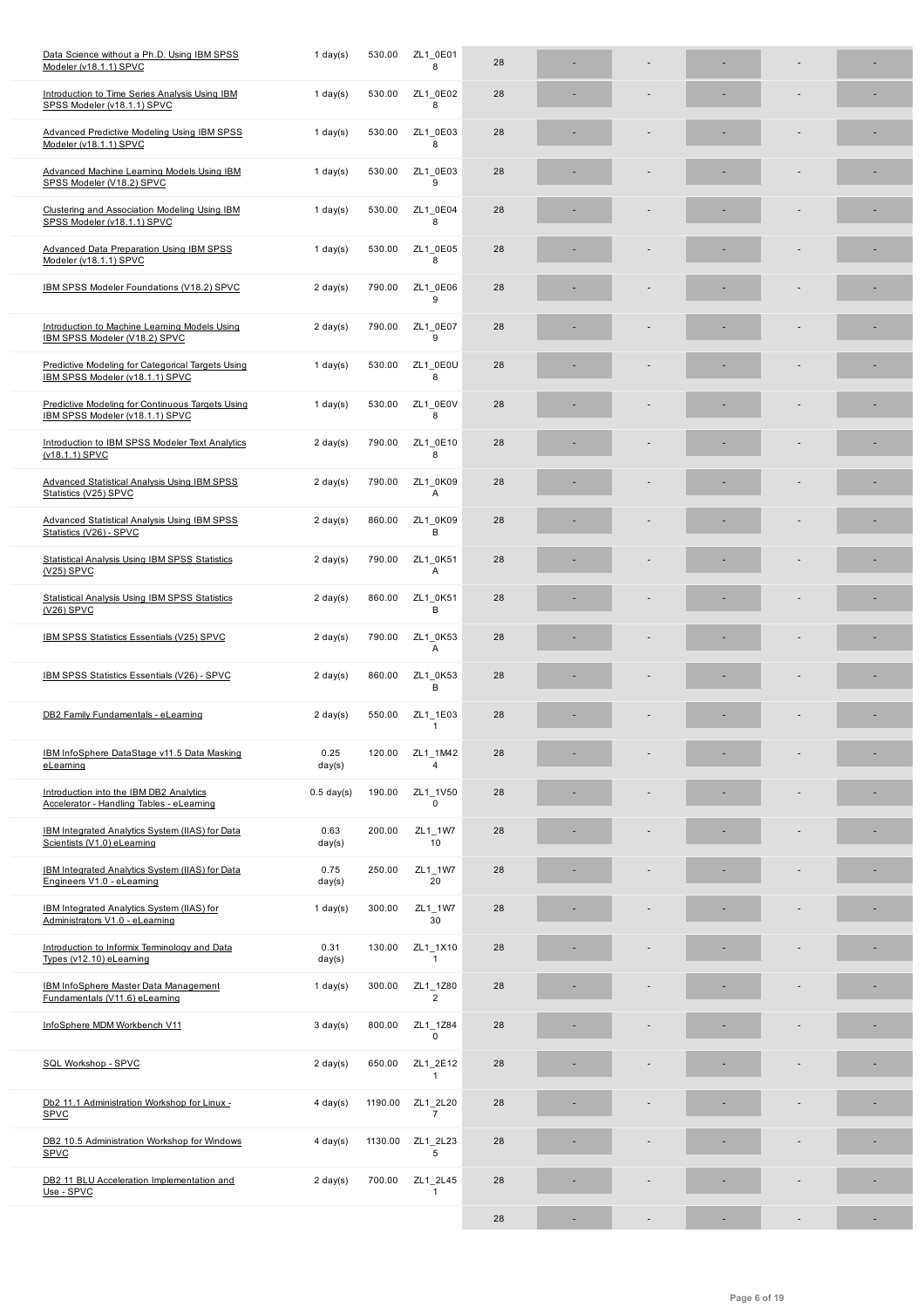| Introduction to Time Series Analysis Using IBM<br>SPSS Modeler (v18.1.1) SPVC        | 1 day $(s)$        | 530.00  | ZL1 0E02<br>8              | 28 |   |    |  |
|--------------------------------------------------------------------------------------|--------------------|---------|----------------------------|----|---|----|--|
| <b>Advanced Predictive Modeling Using IBM SPSS</b><br>Modeler (v18.1.1) SPVC         | $1$ day(s)         | 530.00  | ZL1 0E03<br>8              | 28 |   |    |  |
| <b>Advanced Machine Learning Models Using IBM</b><br>SPSS Modeler (V18.2) SPVC       | $1$ day(s)         | 530.00  | ZL1 0E03<br>9              | 28 |   |    |  |
| Clustering and Association Modeling Using IBM<br>SPSS Modeler (v18.1.1) SPVC         | $1$ day(s)         | 530.00  | ZL1 0E04<br>8              | 28 |   |    |  |
| <b>Advanced Data Preparation Using IBM SPSS</b><br>Modeler (v18.1.1) SPVC            | 1 day $(s)$        | 530.00  | ZL1 0E05<br>8              | 28 |   |    |  |
| IBM SPSS Modeler Foundations (V18.2) SPVC                                            | $2 \text{ day}(s)$ | 790.00  | ZL1 0E06<br>9              | 28 |   |    |  |
| Introduction to Machine Learning Models Using<br>IBM SPSS Modeler (V18.2) SPVC       | $2 \text{ day}(s)$ | 790.00  | ZL1 0E07<br>9              | 28 |   |    |  |
| Predictive Modeling for Categorical Targets Using<br>IBM SPSS Modeler (v18.1.1) SPVC | $1$ day(s)         | 530.00  | ZL1 0E0U<br>8              | 28 |   |    |  |
| Predictive Modeling for Continuous Targets Using<br>IBM SPSS Modeler (v18.1.1) SPVC  | $1$ day(s)         | 530.00  | ZL1 0E0V<br>8              | 28 |   |    |  |
| Introduction to IBM SPSS Modeler Text Analytics<br>(v18.1.1) SPVC                    | $2 \text{ day}(s)$ | 790.00  | ZL1 0E10<br>8              | 28 |   |    |  |
| Advanced Statistical Analysis Using IBM SPSS<br>Statistics (V25) SPVC                | $2 \text{ day}(s)$ | 790.00  | ZL1 0K09<br>Α              | 28 |   |    |  |
| <b>Advanced Statistical Analysis Using IBM SPSS</b><br>Statistics (V26) - SPVC       | $2 \text{ day}(s)$ | 860.00  | ZL1 0K09<br>в              | 28 |   |    |  |
| <b>Statistical Analysis Using IBM SPSS Statistics</b><br>$(V25)$ SPVC                | $2 \text{ day}(s)$ | 790.00  | ZL1 0K51<br>Α              | 28 |   |    |  |
| <b>Statistical Analysis Using IBM SPSS Statistics</b><br>$(V26)$ SPVC                | $2 \text{ day}(s)$ | 860.00  | ZL1 0K51<br>в              | 28 |   |    |  |
| <b>IBM SPSS Statistics Essentials (V25) SPVC</b>                                     | $2 \text{ day}(s)$ | 790.00  | ZL1 0K53<br>Α              | 28 |   |    |  |
| <b>IBM SPSS Statistics Essentials (V26) - SPVC</b>                                   | $2 \text{ day}(s)$ | 860.00  | ZL1 0K53<br>В              | 28 |   |    |  |
| DB2 Family Fundamentals - eLearning                                                  | $2 \text{ day}(s)$ | 550.00  | ZL1 1E03<br>1              | 28 |   |    |  |
| IBM InfoSphere DataStage v11.5 Data Masking<br>eLearning                             | 0.25<br>day(s)     | 120.00  | ZL1 1M42<br>4              | 28 |   |    |  |
| Introduction into the IBM DB2 Analytics<br>Accelerator - Handling Tables - eLearning | $0.5$ day(s)       | 190.00  | ZL1_1V50<br>$\Omega$       | 28 |   |    |  |
| IBM Integrated Analytics System (IIAS) for Data<br>Scientists (V1.0) eLearning       | 0.63<br>day(s)     | 200.00  | ZL1_1W7<br>10              | 28 |   |    |  |
| IBM Integrated Analytics System (IIAS) for Data<br>Engineers V1.0 - eLearning        | 0.75<br>day(s)     | 250.00  | ZL1_1W7<br>20              | 28 |   |    |  |
| IBM Integrated Analytics System (IIAS) for<br>Administrators V1.0 - eLearning        | 1 day $(s)$        | 300.00  | ZL1_1W7<br>30              | 28 |   |    |  |
| Introduction to Informix Terminology and Data<br>Types (v12.10) eLearning            | 0.31<br>day(s)     | 130.00  | ZL1_1X10<br>1              | 28 |   |    |  |
| <b>IBM InfoSphere Master Data Management</b><br>Fundamentals (V11.6) eLearning       | 1 day $(s)$        | 300.00  | ZL1_1Z80<br>$\overline{2}$ | 28 |   |    |  |
| InfoSphere MDM Workbench V11                                                         | $3 \text{ day}(s)$ | 800.00  | ZL1_1Z84<br>0              | 28 |   |    |  |
| SQL Workshop - SPVC                                                                  | $2 \text{ day}(s)$ | 650.00  | ZL1_2E12<br>1              | 28 |   |    |  |
| Db2 11.1 Administration Workshop for Linux -<br><b>SPVC</b>                          | $4$ day(s)         | 1190.00 | ZL1_2L20<br>$\overline{7}$ | 28 |   |    |  |
| DB2 10.5 Administration Workshop for Windows<br><b>SPVC</b>                          | $4$ day(s)         | 1130.00 | ZL1_2L23<br>5              | 28 |   |    |  |
| DB2 11 BLU Acceleration Implementation and<br>Use - SPVC                             | $2 \text{ day}(s)$ | 700.00  | ZL1 2L45<br>1              | 28 |   |    |  |
|                                                                                      |                    |         |                            | 28 | ÷ | ÷, |  |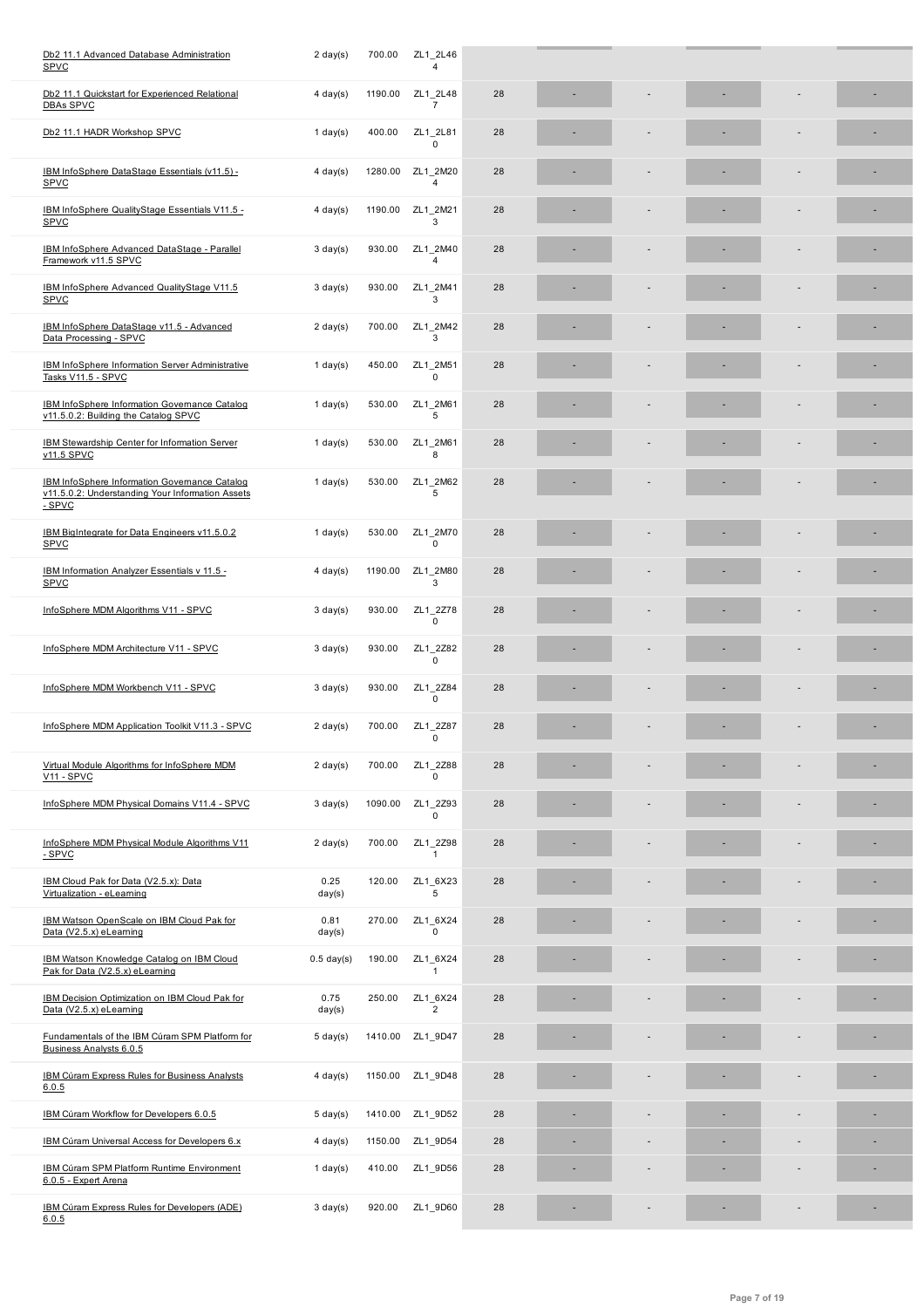| Db2 11.1 Quickstart for Experienced Relational<br><b>DBAs SPVC</b>                                          | $4$ day(s)         | 1190.00 | ZL1_2L48<br>$\overline{7}$ | 28 |  |  |  |
|-------------------------------------------------------------------------------------------------------------|--------------------|---------|----------------------------|----|--|--|--|
| Db2 11.1 HADR Workshop SPVC                                                                                 | 1 day $(s)$        | 400.00  | ZL1 2L81<br>$\Omega$       | 28 |  |  |  |
| IBM InfoSphere DataStage Essentials (v11.5) -<br>SPVC                                                       | $4 \text{ day}(s)$ | 1280.00 | ZL1 2M20<br>$\overline{4}$ | 28 |  |  |  |
| IBM InfoSphere QualityStage Essentials V11.5 -<br><b>SPVC</b>                                               | $4 \text{ day}(s)$ | 1190.00 | ZL1 2M21<br>3              | 28 |  |  |  |
| IBM InfoSphere Advanced DataStage - Parallel<br>Framework v11.5 SPVC                                        | $3 \text{ day}(s)$ | 930.00  | ZL1 2M40<br>$\overline{4}$ | 28 |  |  |  |
| IBM InfoSphere Advanced QualityStage V11.5<br>SPVC                                                          | $3 \text{ day}(s)$ | 930.00  | ZL1_2M41<br>3              | 28 |  |  |  |
| IBM InfoSphere DataStage v11.5 - Advanced<br>Data Processing - SPVC                                         | $2 \text{ day}(s)$ | 700.00  | ZL1 2M42<br>3              | 28 |  |  |  |
| <b>IBM InfoSphere Information Server Administrative</b><br>Tasks V11.5 - SPVC                               | 1 day $(s)$        | 450.00  | ZL1 2M51<br>$\Omega$       | 28 |  |  |  |
| IBM InfoSphere Information Governance Catalog<br>v11.5.0.2: Building the Catalog SPVC                       | 1 day $(s)$        | 530.00  | ZL1_2M61<br>5              | 28 |  |  |  |
| <b>IBM Stewardship Center for Information Server</b><br>v11.5 SPVC                                          | 1 day $(s)$        | 530.00  | ZL1 2M61<br>8              | 28 |  |  |  |
| IBM InfoSphere Information Governance Catalog<br>v11.5.0.2: Understanding Your Information Assets<br>- SPVC | 1 day $(s)$        | 530.00  | ZL1 2M62<br>5              | 28 |  |  |  |
| IBM BigIntegrate for Data Engineers v11.5.0.2<br>SPVC                                                       | 1 day(s)           | 530.00  | ZL1_2M70<br>$\mathbf 0$    | 28 |  |  |  |
| IBM Information Analyzer Essentials v 11.5 -<br><b>SPVC</b>                                                 | $4$ day(s)         | 1190.00 | ZL1 2M80<br>3              | 28 |  |  |  |
| InfoSphere MDM Algorithms V11 - SPVC                                                                        | $3 \text{ day}(s)$ | 930.00  | ZL1_2Z78<br>0              | 28 |  |  |  |
| InfoSphere MDM Architecture V11 - SPVC                                                                      | $3 \text{ day}(s)$ | 930.00  | ZL1 2Z82<br>$\mathbf 0$    | 28 |  |  |  |
| InfoSphere MDM Workbench V11 - SPVC                                                                         | $3 \text{ day}(s)$ | 930.00  | ZL1 2Z84<br>$\mathbf 0$    | 28 |  |  |  |
| InfoSphere MDM Application Toolkit V11.3 - SPVC                                                             | $2 \text{ day}(s)$ | 700.00  | ZL1_2Z87<br>$\mathbf 0$    | 28 |  |  |  |
| Virtual Module Algorithms for InfoSphere MDM<br>V11 - SPVC                                                  | $2 \text{ day}(s)$ | 700.00  | ZL1_2Z88<br>0              | 28 |  |  |  |
| InfoSphere MDM Physical Domains V11.4 - SPVC                                                                | $3 \text{ day}(s)$ | 1090.00 | ZL1 2Z93<br>$\Omega$       | 28 |  |  |  |
| InfoSphere MDM Physical Module Algorithms V11<br>$-SPVC$                                                    | $2 \text{ day}(s)$ | 700.00  | ZL1 2Z98<br>$\mathbf{1}$   | 28 |  |  |  |
| IBM Cloud Pak for Data (V2.5.x): Data<br>Virtualization - eLearning                                         | 0.25<br>day(s)     | 120.00  | ZL1 6X23<br>5              | 28 |  |  |  |
| IBM Watson OpenScale on IBM Cloud Pak for<br>Data (V2.5.x) eLearning                                        | 0.81<br>day(s)     | 270.00  | ZL1 6X24<br>$\mathbf 0$    | 28 |  |  |  |
| IBM Watson Knowledge Catalog on IBM Cloud<br>Pak for Data (V2.5.x) eLearning                                | $0.5$ day(s)       | 190.00  | ZL1_6X24<br>$\mathbf{1}$   | 28 |  |  |  |
| IBM Decision Optimization on IBM Cloud Pak for<br>Data (V2.5.x) eLearning                                   | 0.75<br>day(s)     | 250.00  | ZL1_6X24<br>$\overline{2}$ | 28 |  |  |  |
| Fundamentals of the IBM Cúram SPM Platform for<br>Business Analysts 6.0.5                                   | $5 \text{ day}(s)$ | 1410.00 | ZL1_9D47                   | 28 |  |  |  |
| <b>IBM Cúram Express Rules for Business Analysts</b><br>6.0.5                                               | $4$ day(s)         | 1150.00 | ZL1_9D48                   | 28 |  |  |  |
| IBM Cúram Workflow for Developers 6.0.5                                                                     | $5 \text{ day}(s)$ | 1410.00 | ZL1_9D52                   | 28 |  |  |  |
| IBM Cúram Universal Access for Developers 6.x                                                               | $4 \text{ day}(s)$ | 1150.00 | ZL1_9D54                   | 28 |  |  |  |
| <b>IBM Cúram SPM Platform Runtime Environment</b><br>6.0.5 - Expert Arena                                   | 1 day $(s)$        | 410.00  | ZL1_9D56                   | 28 |  |  |  |
| IBM Cúram Express Rules for Developers (ADE)<br>6.0.5                                                       | $3 \text{ day}(s)$ | 920.00  | ZL1_9D60                   | 28 |  |  |  |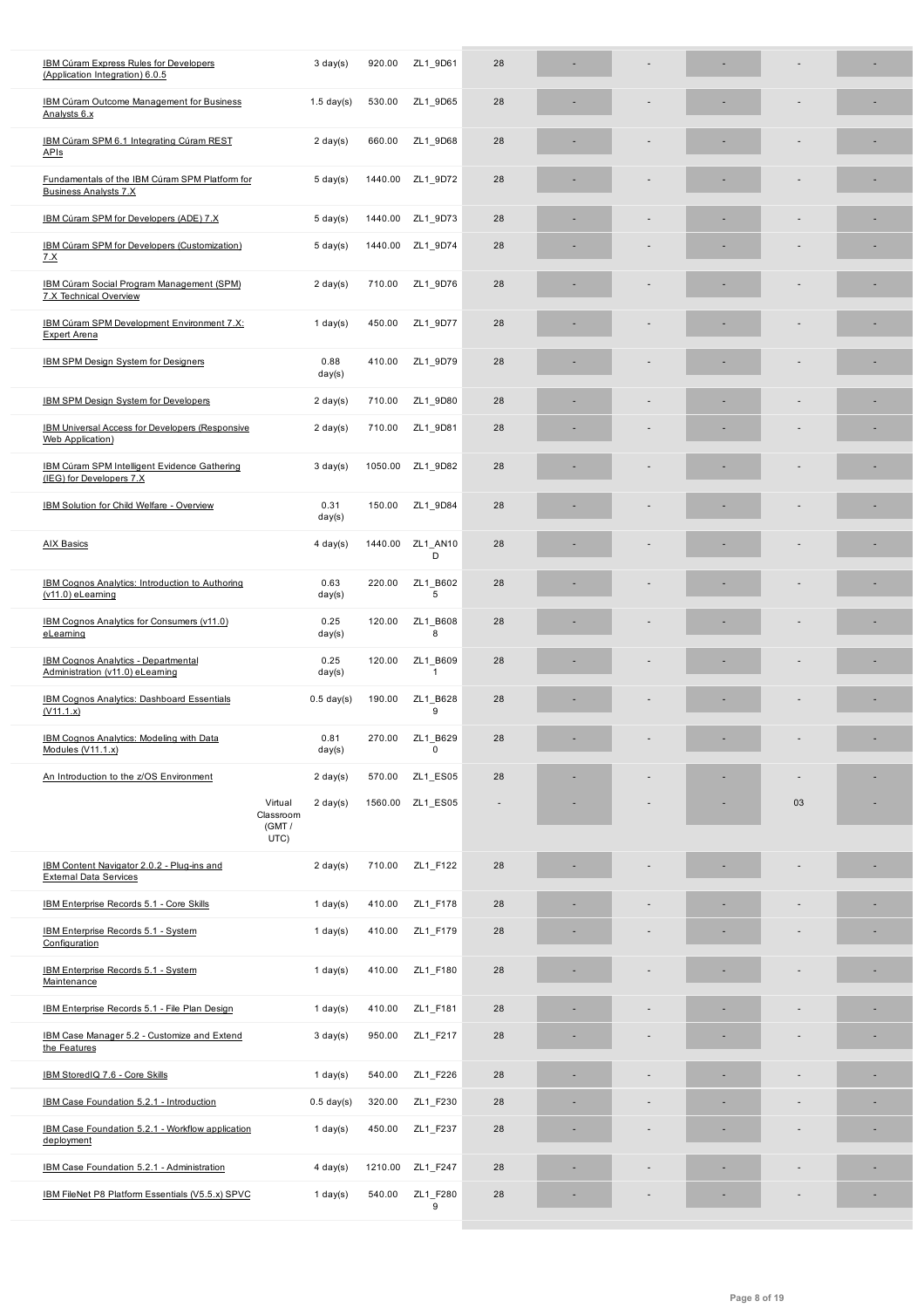| <b>IBM Cúram Outcome Management for Business</b><br>Analysts 6.x                | $1.5$ day(s)                                                | 530.00  | ZL1_9D65                   | 28 |  |    |  |
|---------------------------------------------------------------------------------|-------------------------------------------------------------|---------|----------------------------|----|--|----|--|
| IBM Cúram SPM 6.1 Integrating Cúram REST<br>APIs                                | $2 \text{ day}(s)$                                          | 660.00  | ZL1_9D68                   | 28 |  |    |  |
| Fundamentals of the IBM Cúram SPM Platform for<br><b>Business Analysts 7.X</b>  | $5 \text{ day}(s)$                                          | 1440.00 | ZL1_9D72                   | 28 |  |    |  |
| IBM Cúram SPM for Developers (ADE) 7.X                                          | $5 \text{ day}(s)$                                          | 1440.00 | ZL1 9D73                   | 28 |  |    |  |
| IBM Cúram SPM for Developers (Customization)<br><u>7.X</u>                      | $5 \text{ day}(s)$                                          | 1440.00 | ZL1_9D74                   | 28 |  |    |  |
| IBM Cúram Social Program Management (SPM)<br><b>7.X Technical Overview</b>      | $2 \text{ day}(s)$                                          | 710.00  | ZL1_9D76                   | 28 |  |    |  |
| IBM Cúram SPM Development Environment 7.X:<br><b>Expert Arena</b>               | $1$ day(s)                                                  | 450.00  | ZL1 9D77                   | 28 |  |    |  |
| IBM SPM Design System for Designers                                             | 0.88<br>day(s)                                              | 410.00  | ZL1_9D79                   | 28 |  |    |  |
| IBM SPM Design System for Developers                                            | $2 \text{ day}(s)$                                          | 710.00  | ZL1_9D80                   | 28 |  |    |  |
| IBM Universal Access for Developers (Responsive<br><b>Web Application</b> )     | $2 \text{ day}(s)$                                          | 710.00  | ZL1_9D81                   | 28 |  |    |  |
| <b>IBM Cúram SPM Intelligent Evidence Gathering</b><br>(IEG) for Developers 7.X | $3 \text{ day}(s)$                                          | 1050.00 | ZL1_9D82                   | 28 |  |    |  |
| IBM Solution for Child Welfare - Overview                                       | 0.31<br>day(s)                                              | 150.00  | ZL1_9D84                   | 28 |  |    |  |
| AIX Basics                                                                      | $4 \text{ day}(s)$                                          | 1440.00 | ZL1 AN10<br>D              | 28 |  |    |  |
| IBM Cognos Analytics: Introduction to Authoring<br>$(v11.0)$ eLearning          | 0.63<br>day(s)                                              | 220.00  | ZL1 B602<br>5              | 28 |  |    |  |
| IBM Cognos Analytics for Consumers (v11.0)<br>eLearning                         | 0.25<br>day(s)                                              | 120.00  | ZL1 B608<br>8              | 28 |  |    |  |
| IBM Cognos Analytics - Departmental<br>Administration (v11.0) eLearning         | 0.25<br>day(s)                                              | 120.00  | ZL1 B609<br>$\overline{1}$ | 28 |  |    |  |
| IBM Cognos Analytics: Dashboard Essentials<br>(V11.1.x)                         | $0.5$ day(s)                                                | 190.00  | ZL1 B628<br>9              | 28 |  |    |  |
| IBM Cognos Analytics: Modeling with Data<br>Modules (V11.1.x)                   | 0.81<br>day(s)                                              | 270.00  | ZL1 B629<br>0              | 28 |  |    |  |
| An Introduction to the z/OS Environment                                         | $2 \text{ day}(s)$                                          | 570.00  | ZL1 ES05                   | 28 |  |    |  |
|                                                                                 | Virtual<br>$2 \text{ day}(s)$<br>Classroom<br>(GMT/<br>UTC) |         | 1560.00 ZL1_ES05           |    |  | 03 |  |
| IBM Content Navigator 2.0.2 - Plug-ins and<br><b>External Data Services</b>     | $2 \text{ day}(s)$                                          | 710.00  | ZL1_F122                   | 28 |  |    |  |
| IBM Enterprise Records 5.1 - Core Skills                                        | $1$ day(s)                                                  | 410.00  | ZL1_F178                   | 28 |  |    |  |
| IBM Enterprise Records 5.1 - System<br>Configuration                            | $1$ day(s)                                                  | 410.00  | ZL1_F179                   | 28 |  |    |  |
| IBM Enterprise Records 5.1 - System<br>Maintenance                              | $1$ day(s)                                                  | 410.00  | ZL1 F180                   | 28 |  |    |  |
| IBM Enterprise Records 5.1 - File Plan Design                                   | $1$ day(s)                                                  | 410.00  | ZL1_F181                   | 28 |  |    |  |
| IBM Case Manager 5.2 - Customize and Extend<br>the Features                     | $3 \text{ day}(s)$                                          | 950.00  | ZL1_F217                   | 28 |  |    |  |
| IBM StoredIQ 7.6 - Core Skills                                                  | $1$ day(s)                                                  | 540.00  | ZL1_F226                   | 28 |  |    |  |
| IBM Case Foundation 5.2.1 - Introduction                                        | $0.5$ day(s)                                                | 320.00  | ZL1_F230                   | 28 |  |    |  |
| IBM Case Foundation 5.2.1 - Workflow application<br>deployment                  | $1$ day(s)                                                  | 450.00  | ZL1_F237                   | 28 |  |    |  |
| IBM Case Foundation 5.2.1 - Administration                                      | $4 \text{ day}(s)$                                          | 1210.00 | ZL1_F247                   | 28 |  |    |  |
| IBM FileNet P8 Platform Essentials (V5.5.x) SPVC                                | $1$ day(s)                                                  | 540.00  | ZL1_F280<br>9              | 28 |  |    |  |
|                                                                                 |                                                             |         |                            |    |  |    |  |

(Application Integration) 6.0.5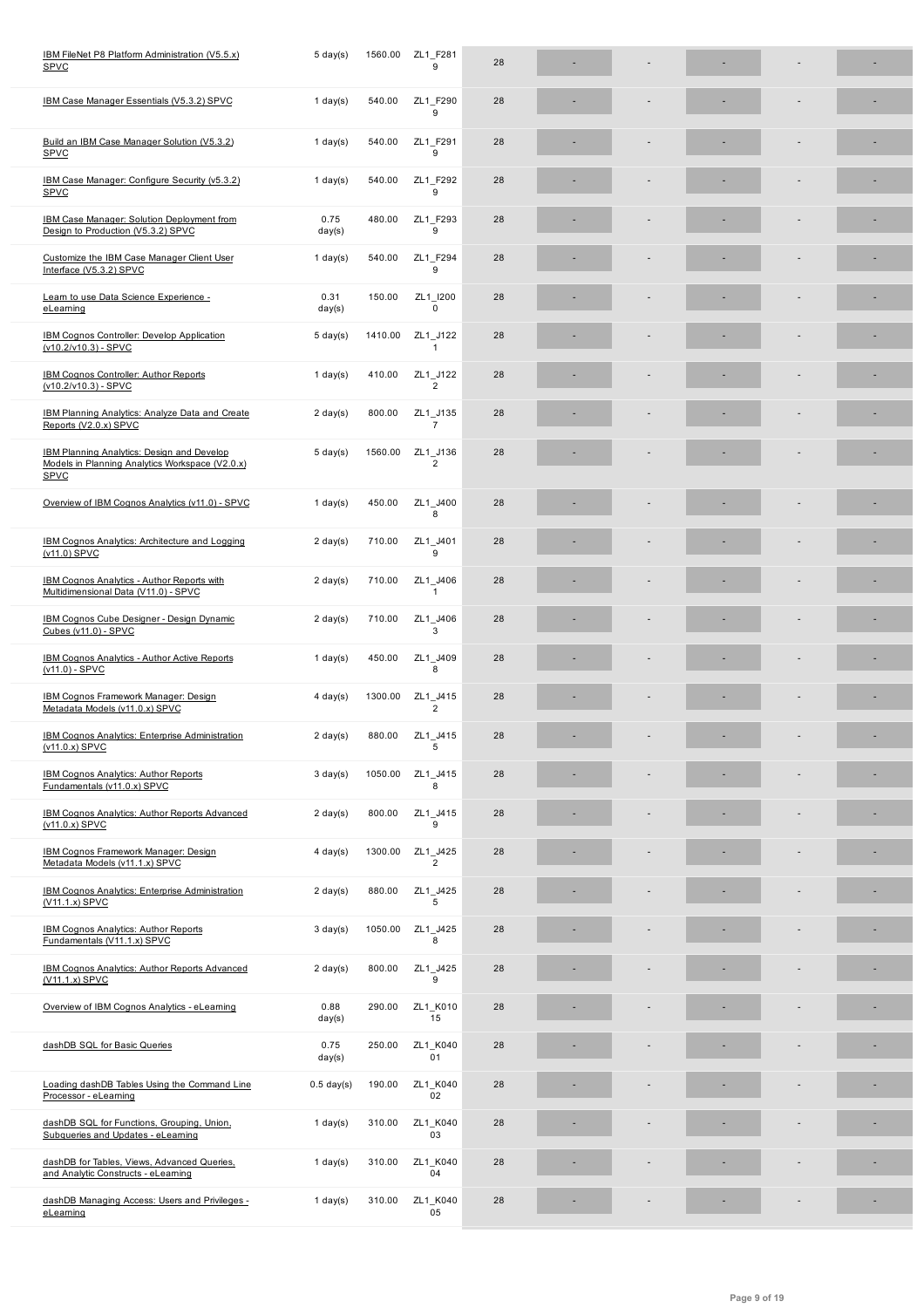| IBM Case Manager Essentials (V5.3.2) SPVC                                                                    | $1$ day(s)         | 540.00  | ZL1 F290<br>9              | 28 |  |  |  |
|--------------------------------------------------------------------------------------------------------------|--------------------|---------|----------------------------|----|--|--|--|
| Build an IBM Case Manager Solution (V5.3.2)<br><b>SPVC</b>                                                   | 1 day $(s)$        | 540.00  | ZL1 F291<br>9              | 28 |  |  |  |
| IBM Case Manager: Configure Security (v5.3.2)<br><b>SPVC</b>                                                 | $1$ day(s)         | 540.00  | ZL1_F292<br>9              | 28 |  |  |  |
| <b>IBM Case Manager: Solution Deployment from</b><br>Design to Production (V5.3.2) SPVC                      | 0.75<br>day(s)     | 480.00  | ZL1_F293<br>9              | 28 |  |  |  |
| Customize the IBM Case Manager Client User<br>Interface (V5.3.2) SPVC                                        | 1 day $(s)$        | 540.00  | ZL1_F294<br>9              | 28 |  |  |  |
| Learn to use Data Science Experience -<br>eLearning                                                          | 0.31<br>day(s)     | 150.00  | ZL1 I200<br>0              | 28 |  |  |  |
| <b>IBM Cognos Controller: Develop Application</b><br>(v10.2/v10.3) - SPVC                                    | $5 \text{ day}(s)$ | 1410.00 | ZL1 J122<br>$\mathbf{1}$   | 28 |  |  |  |
| IBM Cognos Controller: Author Reports<br>(v10.2/v10.3) - SPVC                                                | 1 day $(s)$        | 410.00  | ZL1_J122<br>$\overline{2}$ | 28 |  |  |  |
| IBM Planning Analytics: Analyze Data and Create<br>Reports (V2.0.x) SPVC                                     | $2 \text{ day}(s)$ | 800.00  | ZL1_J135<br>$\overline{7}$ | 28 |  |  |  |
| IBM Planning Analytics: Design and Develop<br>Models in Planning Analytics Workspace (V2.0.x)<br><b>SPVC</b> | $5 \text{ day}(s)$ | 1560.00 | ZL1_J136<br>$\overline{2}$ | 28 |  |  |  |
| Overview of IBM Cognos Analytics (v11.0) - SPVC                                                              | $1$ day(s)         | 450.00  | ZL1 J400<br>8              | 28 |  |  |  |
| IBM Cognos Analytics: Architecture and Logging<br>(v11.0) SPVC                                               | $2 \text{ day}(s)$ | 710.00  | ZL1_J401<br>9              | 28 |  |  |  |
| <b>IBM Cognos Analytics - Author Reports with</b><br>Multidimensional Data (V11.0) - SPVC                    | $2 \text{ day}(s)$ | 710.00  | ZL1_J406<br>1              | 28 |  |  |  |
| IBM Cognos Cube Designer - Design Dynamic<br>Cubes (v11.0) - SPVC                                            | $2 \text{ day}(s)$ | 710.00  | ZL1_J406<br>3              | 28 |  |  |  |
| <b>IBM Cognos Analytics - Author Active Reports</b><br>$(v11.0) - SPVC$                                      | 1 day $(s)$        | 450.00  | ZL1 J409<br>8              | 28 |  |  |  |
| IBM Cognos Framework Manager: Design<br>Metadata Models (v11.0.x) SPVC                                       | $4$ day(s)         | 1300.00 | ZL1_J415<br>$\overline{2}$ | 28 |  |  |  |
| <b>IBM Cognos Analytics: Enterprise Administration</b><br>(v11.0.x) SPVC                                     | $2 \text{ day}(s)$ | 880.00  | ZL1 J415<br>5              | 28 |  |  |  |
| IBM Cognos Analytics: Author Reports<br><b>Fundamentals (v11.0.x) SPVC</b>                                   | $3 \text{ day}(s)$ | 1050.00 | ZL1 J415<br>8              | 28 |  |  |  |
| IBM Cognos Analytics: Author Reports Advanced<br>$(v11.0.x)$ SPVC                                            | $2 \text{ day}(s)$ | 800.00  | ZL1 J415<br>9              | 28 |  |  |  |
| IBM Cognos Framework Manager: Design<br>Metadata Models (v11.1.x) SPVC                                       | $4$ day(s)         | 1300.00 | ZL1_J425<br>$\overline{2}$ | 28 |  |  |  |
| <b>IBM Cognos Analytics: Enterprise Administration</b><br>(V11.1.x) SPVC                                     | $2 \text{ day}(s)$ | 880.00  | ZL1_J425<br>5              | 28 |  |  |  |
| <b>IBM Cognos Analytics: Author Reports</b><br>Fundamentals (V11.1.x) SPVC                                   | $3 \text{ day}(s)$ | 1050.00 | ZL1 J425<br>8              | 28 |  |  |  |
| IBM Cognos Analytics: Author Reports Advanced<br>(V11.1.x) SPVC                                              | $2 \text{ day}(s)$ | 800.00  | ZL1 J425<br>9              | 28 |  |  |  |
| Overview of IBM Cognos Analytics - eLearning                                                                 | 0.88<br>day(s)     | 290.00  | ZL1 K010<br>15             | 28 |  |  |  |
| dashDB SQL for Basic Queries                                                                                 | 0.75<br>day(s)     | 250.00  | ZL1_K040<br>01             | 28 |  |  |  |
| Loading dashDB Tables Using the Command Line<br>Processor - eLearning                                        | $0.5$ day(s)       | 190.00  | ZL1_K040<br>02             | 28 |  |  |  |
| dashDB SQL for Functions, Grouping, Union,<br>Subqueries and Updates - eLearning                             | 1 day $(s)$        | 310.00  | ZL1 K040<br>03             | 28 |  |  |  |
| dashDB for Tables, Views, Advanced Queries,<br>and Analytic Constructs - eLearning                           | $1$ day(s)         | 310.00  | ZL1_K040<br>04             | 28 |  |  |  |
| dashDB Managing Access: Users and Privileges -<br>eLeaming                                                   | $1$ day(s)         | 310.00  | ZL1_K040<br>05             | 28 |  |  |  |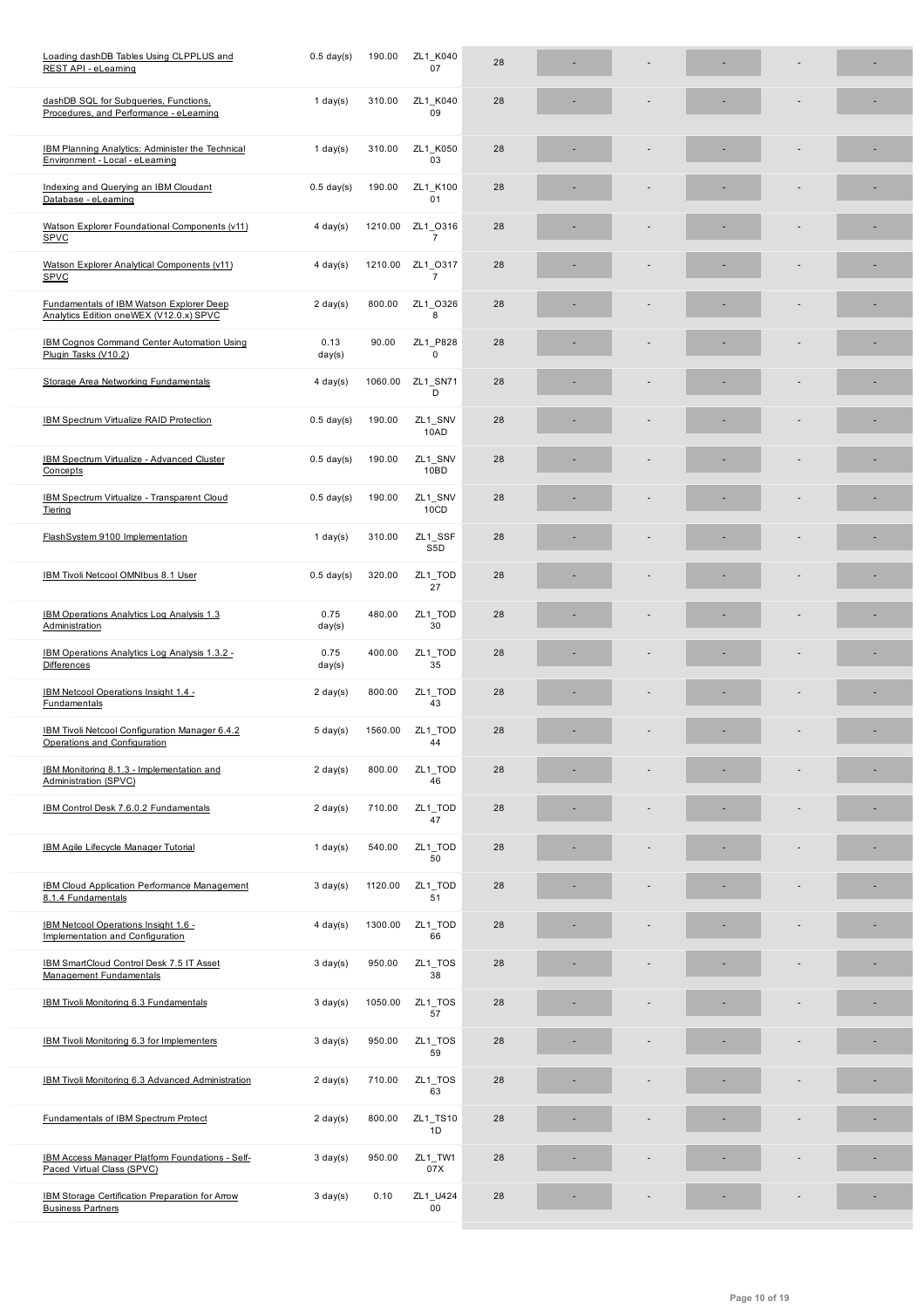| dashDB SQL for Subqueries, Functions,<br>Procedures, and Performance - eLearning           | $1$ day(s)         | 310.00  | ZL1 K040<br>09              | 28 |  |  |   |
|--------------------------------------------------------------------------------------------|--------------------|---------|-----------------------------|----|--|--|---|
| <b>IBM Planning Analytics: Administer the Technical</b><br>Environment - Local - eLearning | 1 day $(s)$        | 310.00  | ZL1_K050<br>03              | 28 |  |  |   |
| Indexing and Querying an IBM Cloudant<br>Database - eLearning                              | $0.5$ day(s)       | 190.00  | ZL1 K100<br>01              | 28 |  |  |   |
| Watson Explorer Foundational Components (v11)<br><b>SPVC</b>                               | $4 \text{ day}(s)$ | 1210.00 | ZL1 0316<br>$\overline{7}$  | 28 |  |  |   |
| Watson Explorer Analytical Components (v11)<br><b>SPVC</b>                                 | $4 \text{ day}(s)$ | 1210.00 | ZL1 0317<br>$\overline{7}$  | 28 |  |  |   |
| Fundamentals of IBM Watson Explorer Deep<br>Analytics Edition oneWEX (V12.0.x) SPVC        | $2 \text{ day}(s)$ | 800.00  | ZL1 O326<br>8               | 28 |  |  |   |
| <b>IBM Cognos Command Center Automation Using</b><br>Plugin Tasks (V10.2)                  | 0.13<br>day(s)     | 90.00   | ZL1 P828<br>$\mathbf 0$     | 28 |  |  |   |
| Storage Area Networking Fundamentals                                                       | $4 \text{ day}(s)$ | 1060.00 | ZL1 SN71<br>D               | 28 |  |  |   |
| <b>IBM Spectrum Virtualize RAID Protection</b>                                             | $0.5$ day(s)       | 190.00  | ZL1_SNV<br>10AD             | 28 |  |  |   |
| IBM Spectrum Virtualize - Advanced Cluster<br>Concepts                                     | $0.5$ day(s)       | 190.00  | ZL1_SNV<br>10BD             | 28 |  |  |   |
| <b>IBM Spectrum Virtualize - Transparent Cloud</b><br>Tiering                              | $0.5$ day(s)       | 190.00  | ZL1_SNV<br>10CD             | 28 |  |  |   |
| FlashSystem 9100 Implementation                                                            | $1$ day(s)         | 310.00  | ZL1_SSF<br>S <sub>5</sub> D | 28 |  |  | ٠ |
| IBM Tivoli Netcool OMNIbus 8.1 User                                                        | $0.5$ day(s)       | 320.00  | ZL1_TOD<br>27               | 28 |  |  |   |
| IBM Operations Analytics Log Analysis 1.3<br>Administration                                | 0.75<br>day(s)     | 480.00  | ZL1_TOD<br>30               | 28 |  |  |   |
| IBM Operations Analytics Log Analysis 1.3.2 -<br><b>Differences</b>                        | 0.75<br>day(s)     | 400.00  | ZL1_TOD<br>35               | 28 |  |  |   |
| IBM Netcool Operations Insight 1.4 -<br>Fundamentals                                       | $2 \text{ day}(s)$ | 800.00  | ZL1_TOD<br>43               | 28 |  |  |   |
| IBM Tivoli Netcool Configuration Manager 6.4.2<br>Operations and Configuration             | $5 \text{ day}(s)$ | 1560.00 | ZL1_TOD<br>44               | 28 |  |  |   |
| IBM Monitoring 8.1.3 - Implementation and<br>Administration (SPVC)                         | $2 \text{ day}(s)$ | 800.00  | ZL1_TOD<br>46               | 28 |  |  | ٠ |
| IBM Control Desk 7.6.0.2 Fundamentals                                                      | $2 \text{ day}(s)$ | 710.00  | ZL1_TOD<br>47               | 28 |  |  |   |
| <b>IBM Agile Lifecycle Manager Tutorial</b>                                                | 1 day $(s)$        | 540.00  | ZL1_TOD<br>50               | 28 |  |  |   |
| <b>IBM Cloud Application Performance Management</b><br>8.1.4 Fundamentals                  | $3 \text{ day}(s)$ | 1120.00 | ZL1_TOD<br>51               | 28 |  |  |   |
| IBM Netcool Operations Insight 1.6 -<br>Implementation and Configuration                   | $4 \text{ day}(s)$ | 1300.00 | ZL1_TOD<br>66               | 28 |  |  |   |
| IBM SmartCloud Control Desk 7.5 IT Asset<br><b>Management Fundamentals</b>                 | $3 \text{ day}(s)$ | 950.00  | $ZL1$ _TOS<br>38            | 28 |  |  |   |
| IBM Tivoli Monitoring 6.3 Fundamentals                                                     | $3 \text{ day}(s)$ | 1050.00 | ZL1_TOS<br>57               | 28 |  |  |   |
| IBM Tivoli Monitoring 6.3 for Implementers                                                 | $3 \text{ day}(s)$ | 950.00  | $ZL1$ _TOS<br>59            | 28 |  |  |   |
| IBM Tivoli Monitoring 6.3 Advanced Administration                                          | $2 \text{ day}(s)$ | 710.00  | ZL1_TOS<br>63               | 28 |  |  |   |
| <b>Fundamentals of IBM Spectrum Protect</b>                                                | $2 \text{ day}(s)$ | 800.00  | ZL1_TS10<br>1D              | 28 |  |  |   |
| IBM Access Manager Platform Foundations - Self-<br>Paced Virtual Class (SPVC)              | $3 \text{ day}(s)$ | 950.00  | ZL1_TW1<br>07X              | 28 |  |  |   |
| IBM Storage Certification Preparation for Arrow<br><b>Business Partners</b>                | $3 \text{ day}(s)$ | 0.10    | ZL1_U424<br>00              | 28 |  |  |   |
|                                                                                            |                    |         |                             |    |  |  |   |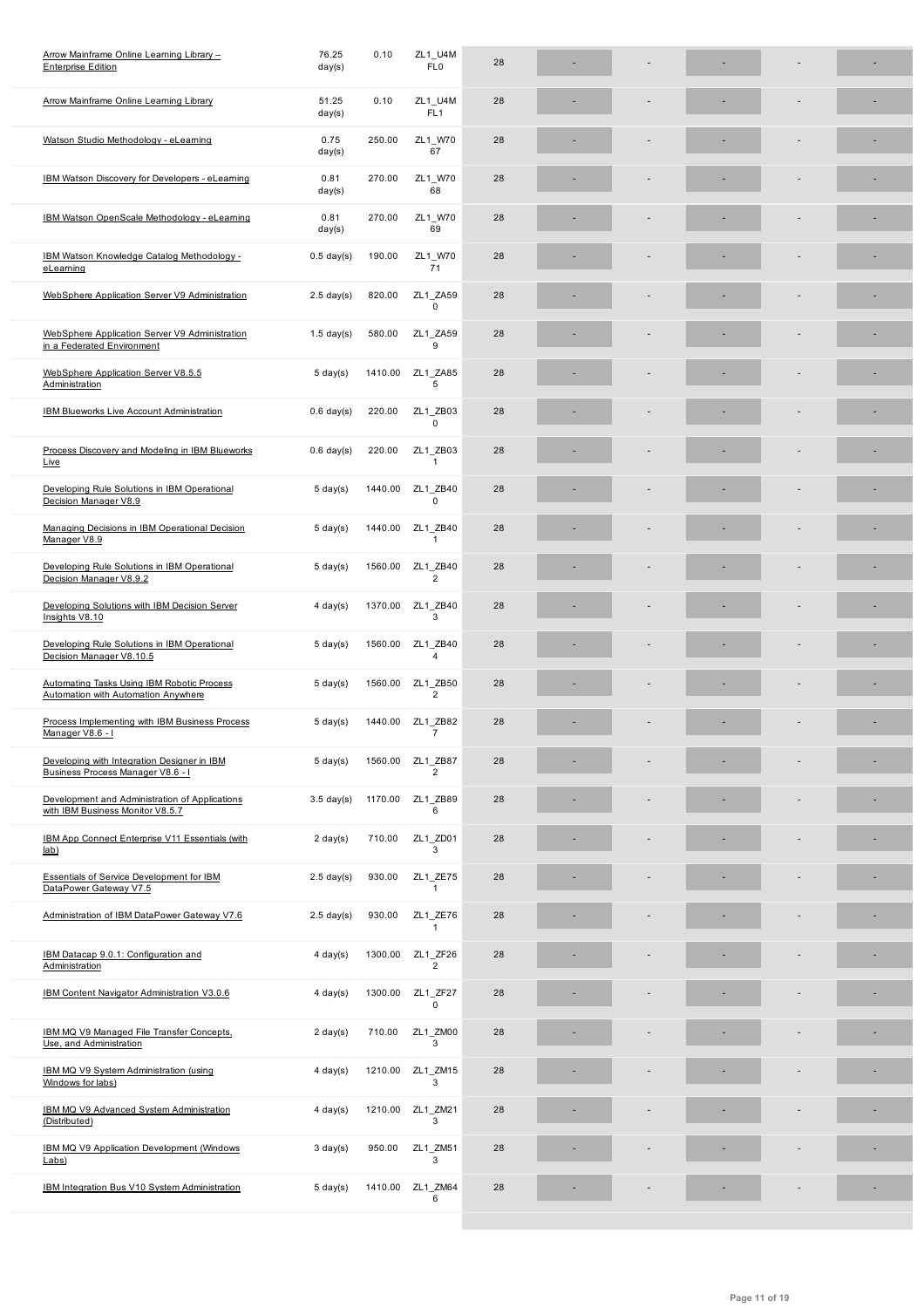| <b>Arrow Mainframe Online Learning Library</b>                                           | 51.25<br>day(s)      | 0.10    | ZL1_U4M<br>FL <sub>1</sub> | 28 |  |  |  |
|------------------------------------------------------------------------------------------|----------------------|---------|----------------------------|----|--|--|--|
| Watson Studio Methodology - eLearning                                                    | 0.75<br>day(s)       | 250.00  | ZL1 W70<br>67              | 28 |  |  |  |
| <b>IBM Watson Discovery for Developers - eLearning</b>                                   | 0.81<br>day(s)       | 270.00  | ZL1 W70<br>68              | 28 |  |  |  |
| IBM Watson OpenScale Methodology - eLearning                                             | 0.81<br>day(s)       | 270.00  | ZL1_W70<br>69              | 28 |  |  |  |
| IBM Watson Knowledge Catalog Methodology -<br>eLearning                                  | $0.5$ day(s)         | 190.00  | ZL1_W70<br>71              | 28 |  |  |  |
| WebSphere Application Server V9 Administration                                           | $2.5$ day(s)         | 820.00  | ZL1 ZA59<br>$\mathbf 0$    | 28 |  |  |  |
| WebSphere Application Server V9 Administration<br>in a Federated Environment             | $1.5$ day(s)         | 580.00  | ZL1 ZA59<br>9              | 28 |  |  |  |
| WebSphere Application Server V8.5.5<br>Administration                                    | $5 \text{ day}(s)$   | 1410.00 | ZL1 ZA85<br>5              | 28 |  |  |  |
| <b>IBM Blueworks Live Account Administration</b>                                         | $0.6$ day(s)         | 220.00  | ZL1 ZB03<br>$\Omega$       | 28 |  |  |  |
| Process Discovery and Modeling in IBM Blueworks<br>Live                                  | $0.6$ day(s)         | 220.00  | ZL1_ZB03<br>$\mathbf{1}$   | 28 |  |  |  |
| Developing Rule Solutions in IBM Operational<br>Decision Manager V8.9                    | $5 \text{ day}(s)$   | 1440.00 | ZL1 ZB40<br>$\Omega$       | 28 |  |  |  |
| Managing Decisions in IBM Operational Decision<br>Manager V8.9                           | $5 \text{ day}(s)$   | 1440.00 | ZL1 ZB40<br>$\mathbf{1}$   | 28 |  |  |  |
| Developing Rule Solutions in IBM Operational<br>Decision Manager V8.9.2                  | $5 \text{ day}(s)$   | 1560.00 | ZL1_ZB40<br>$\overline{2}$ | 28 |  |  |  |
| Developing Solutions with IBM Decision Server<br>Insights V8.10                          | $4$ day(s)           | 1370.00 | ZL1 ZB40<br>3              | 28 |  |  |  |
| Developing Rule Solutions in IBM Operational<br>Decision Manager V8.10.5                 | $5 \text{ day}(s)$   | 1560.00 | ZL1 ZB40<br>4              | 28 |  |  |  |
| Automating Tasks Using IBM Robotic Process<br><b>Automation with Automation Anywhere</b> | $5 \text{ day}(s)$   | 1560.00 | ZL1_ZB50<br>$\overline{2}$ | 28 |  |  |  |
| Process Implementing with IBM Business Process<br>Manager V8.6 - I                       | $5 \text{ day}(s)$   | 1440.00 | ZL1_ZB82<br>$\overline{7}$ | 28 |  |  |  |
| Developing with Integration Designer in IBM<br>Business Process Manager V8.6 - I         | $5 \text{ day}(s)$   | 1560.00 | ZL1 ZB87<br>$\overline{2}$ | 28 |  |  |  |
| Development and Administration of Applications<br>with IBM Business Monitor V8.5.7       | $3.5 \text{ day}(s)$ | 1170.00 | ZL1 ZB89<br>6              | 28 |  |  |  |
| IBM App Connect Enterprise V11 Essentials (with<br>lab)                                  | $2 \text{ day}(s)$   | 710.00  | ZL1 ZD01<br>3              | 28 |  |  |  |
| <b>Essentials of Service Development for IBM</b><br>DataPower Gateway V7.5               | $2.5$ day(s)         | 930.00  | ZL1_ZE75<br>1              | 28 |  |  |  |
| Administration of IBM DataPower Gateway V7.6                                             | $2.5$ day(s)         | 930.00  | ZL1_ZE76<br>$\mathbf{1}$   | 28 |  |  |  |
| IBM Datacap 9.0.1: Configuration and<br>Administration                                   | $4 \text{ day}(s)$   | 1300.00 | ZL1_ZF26<br>$\overline{2}$ | 28 |  |  |  |
| IBM Content Navigator Administration V3.0.6                                              | $4$ day(s)           | 1300.00 | ZL1 ZF27<br>0              | 28 |  |  |  |
| IBM MQ V9 Managed File Transfer Concepts,<br>Use, and Administration                     | $2 \text{ day}(s)$   | 710.00  | ZL1 ZM00<br>3              | 28 |  |  |  |
| IBM MQ V9 System Administration (using<br>Windows for labs)                              | $4 \text{ day}(s)$   | 1210.00 | ZL1 ZM15<br>3              | 28 |  |  |  |
| IBM MQ V9 Advanced System Administration<br>(Distributed)                                | $4 \text{ day}(s)$   | 1210.00 | ZL1 ZM21<br>3              | 28 |  |  |  |
| IBM MQ V9 Application Development (Windows<br>Labs)                                      | $3 \text{ day}(s)$   | 950.00  | ZL1 ZM51<br>3              | 28 |  |  |  |
| IBM Integration Bus V10 System Administration                                            | $5 \text{ day}(s)$   | 1410.00 | ZL1 ZM64<br>6              | 28 |  |  |  |
|                                                                                          |                      |         |                            |    |  |  |  |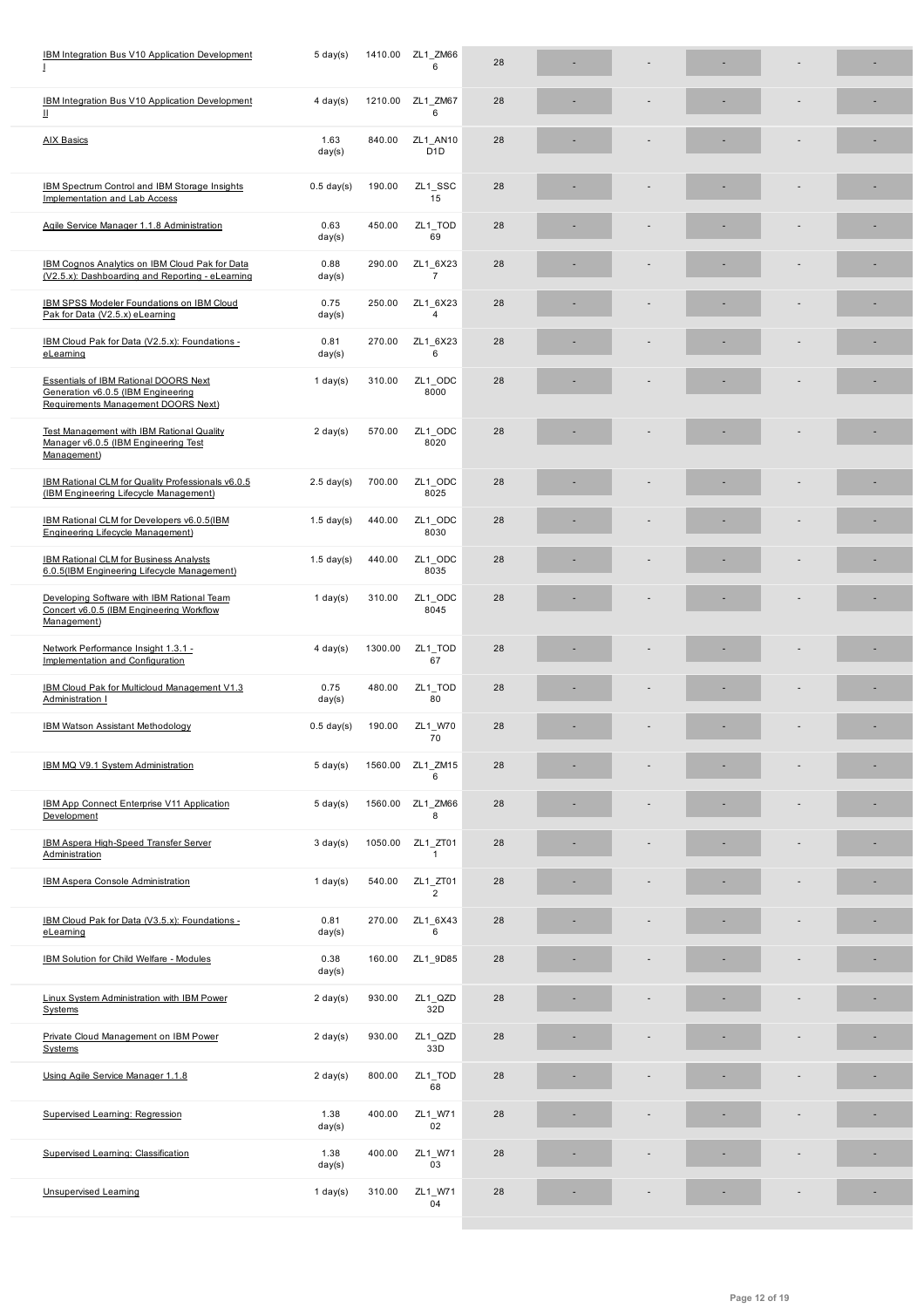| IBM Integration Bus V10 Application Development<br>Ш                                                                      | $4 \text{ day}(s)$ | 1210.00 | ZL1 ZM67<br>6                | 28 |  |  |    |
|---------------------------------------------------------------------------------------------------------------------------|--------------------|---------|------------------------------|----|--|--|----|
| <b>AIX Basics</b>                                                                                                         | 1.63<br>day(s)     | 840.00  | ZL1 AN10<br>D <sub>1</sub> D | 28 |  |  |    |
| IBM Spectrum Control and IBM Storage Insights<br><b>Implementation and Lab Access</b>                                     | $0.5$ day(s)       | 190.00  | ZL1_SSC<br>15                | 28 |  |  |    |
| Agile Service Manager 1.1.8 Administration                                                                                | 0.63<br>day(s)     | 450.00  | ZL1_TOD<br>69                | 28 |  |  |    |
| IBM Cognos Analytics on IBM Cloud Pak for Data<br>(V2.5.x): Dashboarding and Reporting - eLearning                        | 0.88<br>day(s)     | 290.00  | ZL1_6X23<br>$\overline{7}$   | 28 |  |  |    |
| <b>IBM SPSS Modeler Foundations on IBM Cloud</b><br>Pak for Data (V2.5.x) eLearning                                       | 0.75<br>day(s)     | 250.00  | ZL1 6X23<br>4                | 28 |  |  |    |
| IBM Cloud Pak for Data (V2.5.x): Foundations -<br>eLearning                                                               | 0.81<br>day(s)     | 270.00  | ZL1 6X23<br>6                | 28 |  |  |    |
| <b>Essentials of IBM Rational DOORS Next</b><br>Generation v6.0.5 (IBM Engineering<br>Requirements Management DOORS Next) | 1 day $(s)$        | 310.00  | ZL1_ODC<br>8000              | 28 |  |  |    |
| <b>Test Management with IBM Rational Quality</b><br>Manager v6.0.5 (IBM Engineering Test<br>Management)                   | $2 \text{ day}(s)$ | 570.00  | ZL1 ODC<br>8020              | 28 |  |  |    |
| IBM Rational CLM for Quality Professionals v6.0.5<br>(IBM Engineering Lifecycle Management)                               | $2.5$ day(s)       | 700.00  | ZL1 ODC<br>8025              | 28 |  |  | ٠  |
| IBM Rational CLM for Developers v6.0.5(IBM<br><b>Engineering Lifecycle Management)</b>                                    | $1.5$ day(s)       | 440.00  | ZL1_ODC<br>8030              | 28 |  |  |    |
| <b>IBM Rational CLM for Business Analysts</b><br>6.0.5(IBM Engineering Lifecycle Management)                              | $1.5$ day(s)       | 440.00  | ZL1_ODC<br>8035              | 28 |  |  |    |
| Developing Software with IBM Rational Team<br>Concert v6.0.5 (IBM Engineering Workflow<br>Management)                     | 1 day $(s)$        | 310.00  | ZL1 ODC<br>8045              | 28 |  |  |    |
| Network Performance Insight 1.3.1 -<br>Implementation and Configuration                                                   | $4$ day(s)         | 1300.00 | ZL1_TOD<br>67                | 28 |  |  | ×, |
| IBM Cloud Pak for Multicloud Management V1.3<br>Administration I                                                          | 0.75<br>day(s)     | 480.00  | ZL1_TOD<br>80                | 28 |  |  |    |
| <b>IBM Watson Assistant Methodology</b>                                                                                   | $0.5$ day(s)       | 190.00  | ZL1_W70<br>70                | 28 |  |  |    |
| IBM MQ V9.1 System Administration                                                                                         | $5 \text{ day}(s)$ | 1560.00 | ZL1_ZM15<br>6                | 28 |  |  |    |
| IBM App Connect Enterprise V11 Application<br>Development                                                                 | $5 \text{ day}(s)$ | 1560.00 | ZL1 ZM66<br>8                | 28 |  |  |    |
| <b>IBM Aspera High-Speed Transfer Server</b><br>Administration                                                            | $3 \text{ day}(s)$ | 1050.00 | ZL1_ZT01<br>$\mathbf{1}$     | 28 |  |  |    |
| <b>IBM Aspera Console Administration</b>                                                                                  | $1$ day(s)         | 540.00  | ZL1 ZT01<br>$\overline{2}$   | 28 |  |  |    |
| IBM Cloud Pak for Data (V3.5.x): Foundations -<br>eLeaming                                                                | 0.81<br>day(s)     | 270.00  | ZL1 6X43<br>6                | 28 |  |  |    |
| <b>IBM Solution for Child Welfare - Modules</b>                                                                           | 0.38<br>day(s)     | 160.00  | ZL1_9D85                     | 28 |  |  |    |
| Linux System Administration with IBM Power<br>Systems                                                                     | $2 \text{ day}(s)$ | 930.00  | ZL1_QZD<br>32D               | 28 |  |  |    |
| Private Cloud Management on IBM Power<br><b>Systems</b>                                                                   | $2 \text{ day}(s)$ | 930.00  | ZL1_QZD<br>33D               | 28 |  |  |    |
| Using Agile Service Manager 1.1.8                                                                                         | $2 \text{ day}(s)$ | 800.00  | ZL1_TOD<br>68                | 28 |  |  |    |
| Supervised Learning: Regression                                                                                           | 1.38<br>day(s)     | 400.00  | ZL1_W71<br>02                | 28 |  |  |    |
| Supervised Learning: Classification                                                                                       | 1.38<br>day(s)     | 400.00  | ZL1_W71<br>03                | 28 |  |  |    |
| <b>Unsupervised Learning</b>                                                                                              | $1$ day(s)         | 310.00  | ZL1_W71<br>04                | 28 |  |  |    |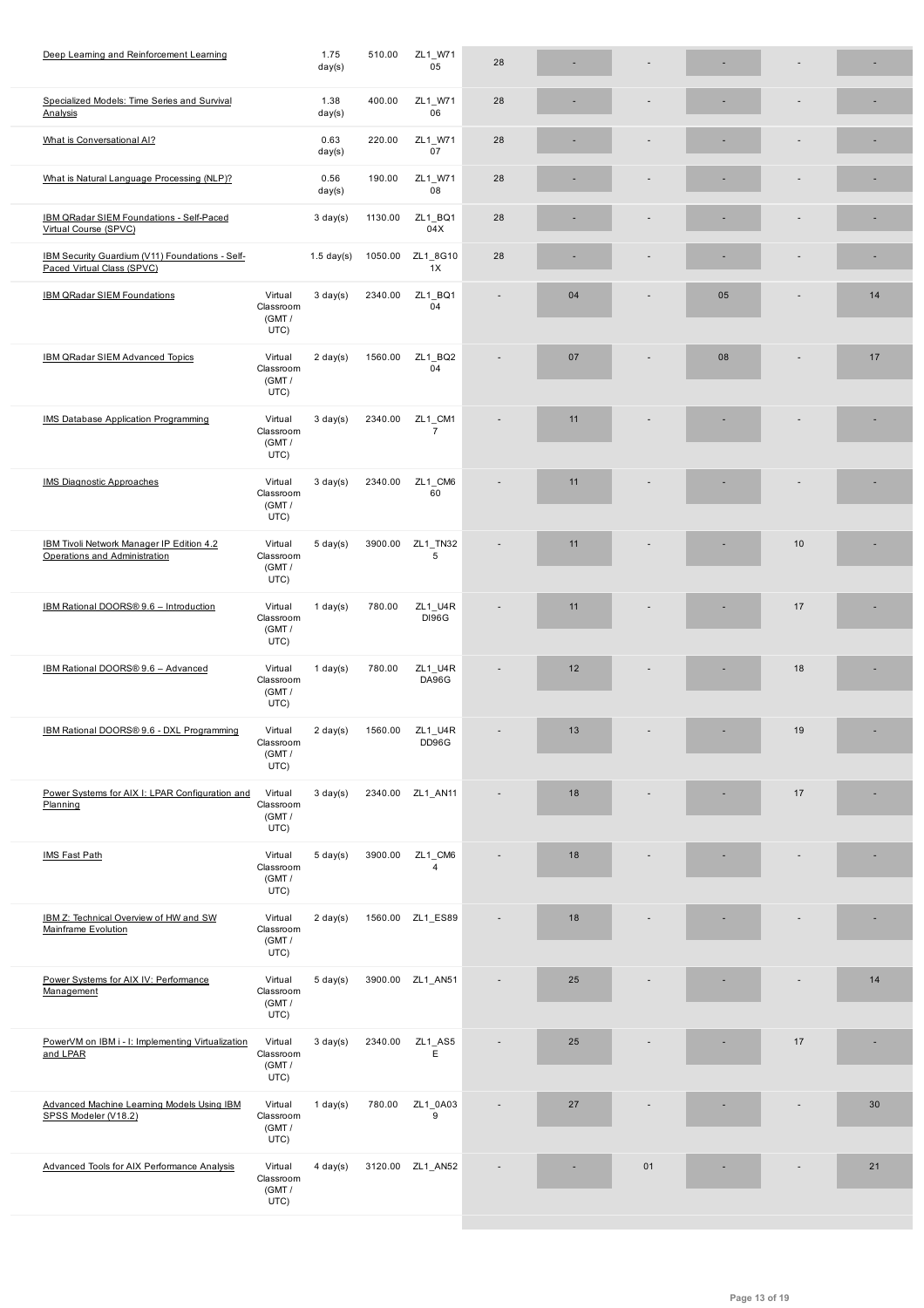| Specialized Models: Time Series and Survival<br>Analysis                      |                                        | 1.38<br>day(s)     | 400.00  | ZL1 W71<br>06             | 28 |    |    |    |      |    |
|-------------------------------------------------------------------------------|----------------------------------------|--------------------|---------|---------------------------|----|----|----|----|------|----|
| What is Conversational AI?                                                    |                                        | 0.63<br>day(s)     | 220.00  | ZL1_W71<br>07             | 28 |    |    |    |      |    |
| What is Natural Language Processing (NLP)?                                    |                                        | 0.56<br>day(s)     | 190.00  | ZL1 W71<br>08             | 28 |    |    |    |      |    |
| IBM QRadar SIEM Foundations - Self-Paced<br>Virtual Course (SPVC)             |                                        | $3 \text{ day}(s)$ | 1130.00 | ZL1_BQ1<br>04X            | 28 |    |    |    |      |    |
| IBM Security Guardium (V11) Foundations - Self-<br>Paced Virtual Class (SPVC) |                                        | $1.5$ day(s)       | 1050.00 | ZL1_8G10<br>1X            | 28 |    |    |    |      |    |
| IBM QRadar SIEM Foundations                                                   | Virtual<br>Classroom<br>(GMT/<br>UTC)  | $3 \text{ day}(s)$ | 2340.00 | ZL1 BQ1<br>04             | ٠  | 04 |    | 05 |      | 14 |
| IBM QRadar SIEM Advanced Topics                                               | Virtual<br>Classroom<br>(GMT /<br>UTC) | $2 \text{ day}(s)$ | 1560.00 | ZL1_BQ2<br>04             |    | 07 |    | 08 |      | 17 |
| IMS Database Application Programming                                          | Virtual<br>Classroom<br>(GMT /<br>UTC) | $3 \text{ day}(s)$ | 2340.00 | ZL1_CM1<br>$\overline{7}$ |    | 11 |    |    |      |    |
| <b>IMS Diagnostic Approaches</b>                                              | Virtual<br>Classroom<br>(GMT/<br>UTC)  | $3 \text{ day}(s)$ | 2340.00 | ZL1_CM6<br>60             |    | 11 |    |    |      |    |
| IBM Tivoli Network Manager IP Edition 4.2<br>Operations and Administration    | Virtual<br>Classroom<br>(GMT /<br>UTC) | $5 \text{ day}(s)$ | 3900.00 | ZL1_TN32<br>5             |    | 11 |    |    | 10   |    |
| IBM Rational DOORS® 9.6 - Introduction                                        | Virtual<br>Classroom<br>(GMT /<br>UTC) | $1$ day(s)         | 780.00  | ZL1_U4R<br><b>DI96G</b>   |    | 11 |    |    | 17   |    |
| IBM Rational DOORS® 9.6 - Advanced                                            | Virtual<br>Classroom<br>(GMT/<br>UTC)  | $1$ day(s)         | 780.00  | ZL1_U4R<br>DA96G          |    | 12 |    |    | 18   |    |
| IBM Rational DOORS® 9.6 - DXL Programming                                     | Virtual<br>Classroom<br>(GMT /<br>UTC) | $2 \text{ day}(s)$ | 1560.00 | ZL1_U4R<br>DD96G          | ÷, | 13 |    |    | 19   |    |
| Power Systems for AIX I: LPAR Configuration and<br>Planning                   | Virtual<br>Classroom<br>(GMT /<br>UTC) | $3 \text{ day}(s)$ |         | 2340.00 ZL1_AN11          |    | 18 |    |    | $17$ |    |
| <b>IMS Fast Path</b>                                                          | Virtual<br>Classroom<br>(GMT /<br>UTC) | $5 \text{ day}(s)$ | 3900.00 | ZL1 CM6<br>$\overline{4}$ |    | 18 |    |    |      |    |
| IBM Z: Technical Overview of HW and SW<br>Mainframe Evolution                 | Virtual<br>Classroom<br>(GMT /<br>UTC) | $2 \text{ day}(s)$ |         | 1560.00 ZL1 ES89          |    | 18 |    |    |      |    |
| Power Systems for AIX IV: Performance<br>Management                           | Virtual<br>Classroom<br>(GMT /<br>UTC) | $5 \text{ day}(s)$ |         | 3900.00 ZL1_AN51          |    | 25 |    |    |      | 14 |
| PowerVM on IBM i - I: Implementing Virtualization<br>and LPAR                 | Virtual<br>Classroom<br>(GMT /<br>UTC) | $3 \text{ day}(s)$ | 2340.00 | ZL1_AS5<br>E              |    | 25 |    |    | 17   |    |
| Advanced Machine Learning Models Using IBM<br>SPSS Modeler (V18.2)            | Virtual<br>Classroom<br>(GMT /<br>UTC) | $1$ day(s)         | 780.00  | ZL1_0A03<br>9             |    | 27 |    |    |      | 30 |
| Advanced Tools for AIX Performance Analysis                                   | Virtual<br>Classroom<br>(GMT /<br>UTC) | $4 \text{ day}(s)$ |         | 3120.00 ZL1_AN52          |    |    | 01 |    |      | 21 |
|                                                                               |                                        |                    |         |                           |    |    |    |    |      |    |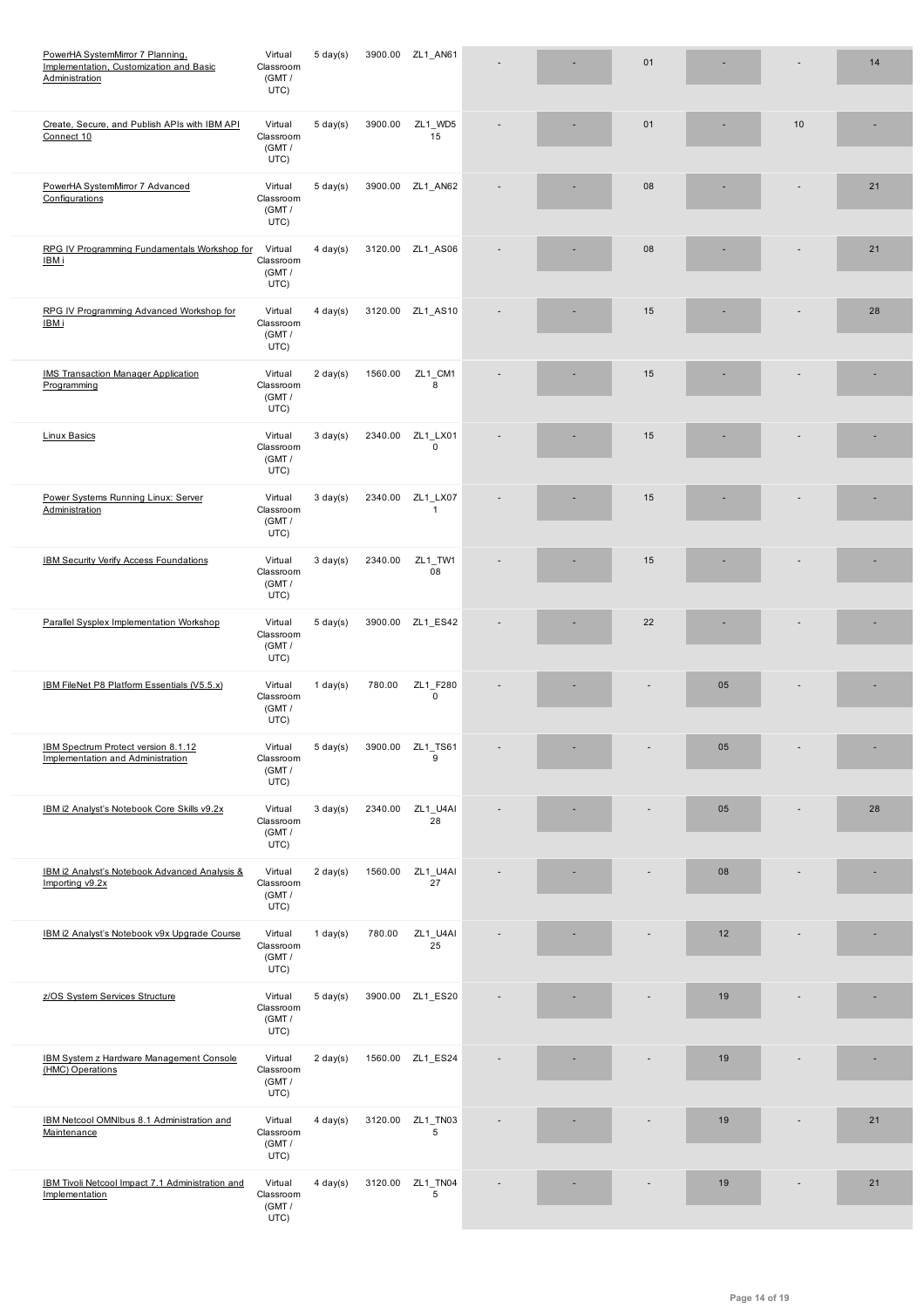| <u>Administration</u>                                                    | ו ואוס)<br>UTC)                        |                    |         |                          |  |    |    |    |    |
|--------------------------------------------------------------------------|----------------------------------------|--------------------|---------|--------------------------|--|----|----|----|----|
| Create, Secure, and Publish APIs with IBM API<br>Connect 10              | Virtual<br>Classroom<br>(GMT /<br>UTC) | $5 \text{ day}(s)$ | 3900.00 | ZL1_WD5<br>15            |  | 01 |    | 10 |    |
| PowerHA SystemMirror 7 Advanced<br>Configurations                        | Virtual<br>Classroom<br>(GMT/<br>UTC)  | $5 \text{ day}(s)$ |         | 3900.00 ZL1_AN62         |  | 08 |    |    | 21 |
| RPG IV Programming Fundamentals Workshop for<br>IBM i                    | Virtual<br>Classroom<br>(GMT /<br>UTC) | $4 \text{ day}(s)$ |         | 3120.00 ZL1_AS06         |  | 08 |    |    | 21 |
| RPG IV Programming Advanced Workshop for<br>IBM i                        | Virtual<br>Classroom<br>(GMT /<br>UTC) | $4$ day(s)         |         | 3120.00 ZL1_AS10         |  | 15 |    |    | 28 |
| <b>IMS Transaction Manager Application</b><br>Programming                | Virtual<br>Classroom<br>(GMT /<br>UTC) | $2 \text{ day}(s)$ | 1560.00 | ZL1_CM1<br>8             |  | 15 |    |    |    |
| <b>Linux Basics</b>                                                      | Virtual<br>Classroom<br>(GMT /<br>UTC) | $3 \text{ day}(s)$ | 2340.00 | ZL1_LX01<br>0            |  | 15 |    |    |    |
| Power Systems Running Linux: Server<br>Administration                    | Virtual<br>Classroom<br>(GMT /<br>UTC) | $3 \text{ day}(s)$ | 2340.00 | ZL1_LX07<br>$\mathbf{1}$ |  | 15 |    |    |    |
| <b>IBM Security Verify Access Foundations</b>                            | Virtual<br>Classroom<br>(GMT /<br>UTC) | $3 \text{ day}(s)$ | 2340.00 | ZL1_TW1<br>08            |  | 15 |    |    |    |
| Parallel Sysplex Implementation Workshop                                 | Virtual<br>Classroom<br>(GMT /<br>UTC) | $5 \text{ day}(s)$ |         | 3900.00 ZL1_ES42         |  | 22 |    |    |    |
| IBM FileNet P8 Platform Essentials (V5.5.x)                              | Virtual<br>Classroom<br>(GMT /<br>UTC) | $1$ day(s)         | 780.00  | ZL1_F280<br>0            |  |    | 05 |    |    |
| IBM Spectrum Protect version 8.1.12<br>Implementation and Administration | Virtual<br>Classroom<br>(GMT/<br>UTC)  | $5 \text{ day}(s)$ | 3900.00 | ZL1_TS61<br>9            |  |    | 05 |    |    |
| IBM i2 Analyst's Notebook Core Skills v9.2x                              | Virtual<br>Classroom<br>(GMT /<br>UTC) | $3 \text{ day}(s)$ | 2340.00 | ZL1_U4AI<br>28           |  |    | 05 |    | 28 |
| IBM i2 Analyst's Notebook Advanced Analysis &<br>Importing v9.2x         | Virtual<br>Classroom<br>(GMT /<br>UTC) | $2 \text{ day}(s)$ | 1560.00 | ZL1_U4AI<br>27           |  |    | 08 |    |    |
| IBM i2 Analyst's Notebook v9x Upgrade Course                             | Virtual<br>Classroom<br>(GMT /<br>UTC) | $1$ day(s)         | 780.00  | ZL1_U4AI<br>25           |  |    | 12 |    |    |
| z/OS System Services Structure                                           | Virtual<br>Classroom<br>(GMT /<br>UTC) | $5 \text{ day}(s)$ |         | 3900.00 ZL1_ES20         |  |    | 19 |    |    |
| IBM System z Hardware Management Console<br>(HMC) Operations             | Virtual<br>Classroom<br>(GMT /<br>UTC) | $2 \text{ day}(s)$ |         | 1560.00 ZL1_ES24         |  |    | 19 |    |    |
| IBM Netcool OMNIbus 8.1 Administration and<br>Maintenance                | Virtual<br>Classroom<br>(GMT /<br>UTC) | $4$ day(s)         | 3120.00 | ZL1_TN03<br>5            |  |    | 19 |    | 21 |
| IBM Tivoli Netcool Impact 7.1 Administration and<br>Implementation       | Virtual<br>Classroom<br>(GMT /<br>UTC) | $4 \text{ day}(s)$ | 3120.00 | ZL1_TN04<br>5            |  |    | 19 |    | 21 |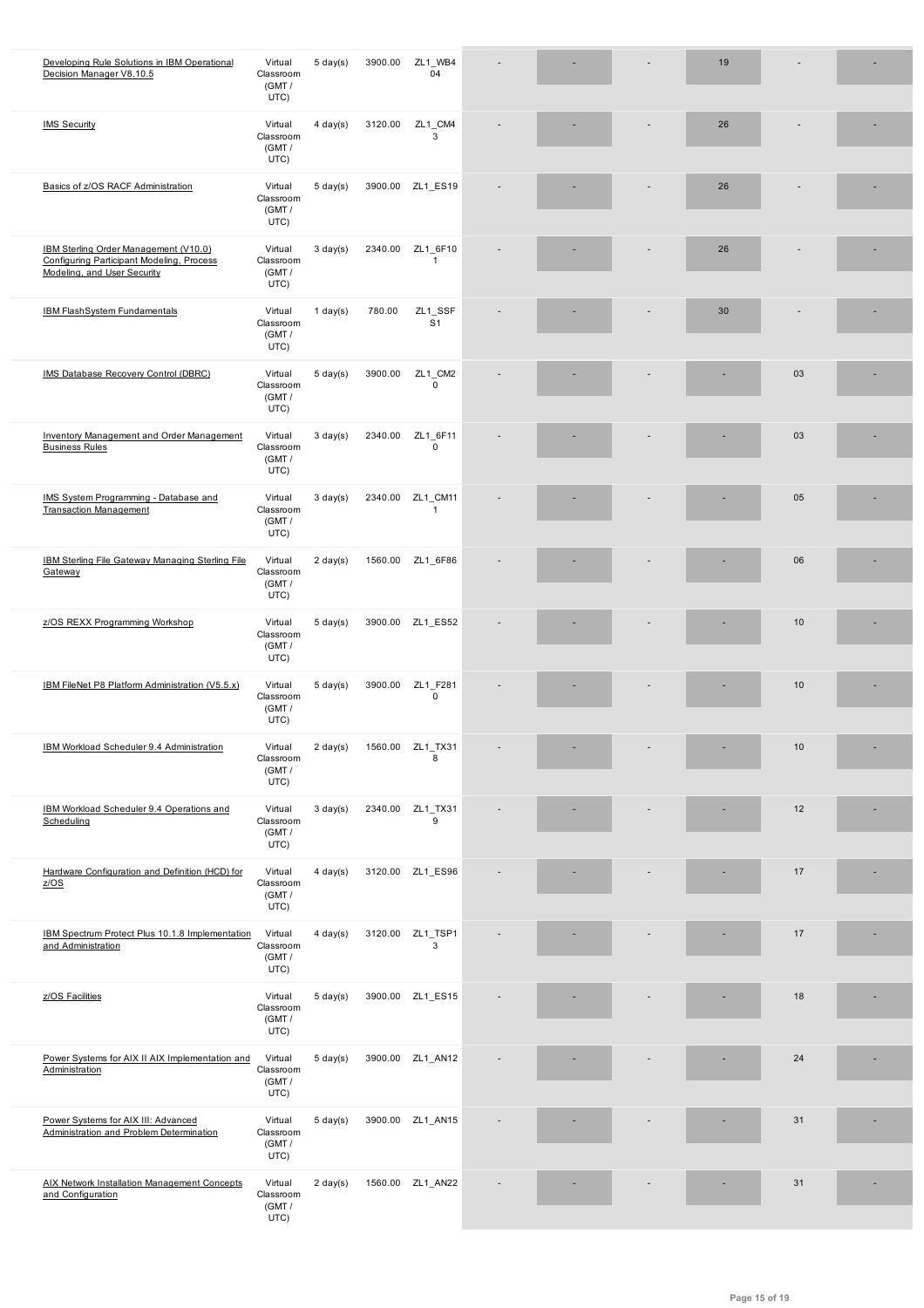|                                                                                                                   | (GMT /<br>UTC)                         |                    |         |                           |  |    |    |  |
|-------------------------------------------------------------------------------------------------------------------|----------------------------------------|--------------------|---------|---------------------------|--|----|----|--|
| <b>IMS Security</b>                                                                                               | Virtual<br>Classroom<br>(GMT /<br>UTC) | $4$ day(s)         | 3120.00 | ZL1_CM4<br>3              |  | 26 |    |  |
| Basics of z/OS RACF Administration                                                                                | Virtual<br>Classroom<br>(GMT /<br>UTC) | $5 \text{ day}(s)$ |         | 3900.00 ZL1_ES19          |  | 26 |    |  |
| IBM Sterling Order Management (V10.0)<br>Configuring Participant Modeling, Process<br>Modeling, and User Security | Virtual<br>Classroom<br>(GMT /<br>UTC) | $3 \text{ day}(s)$ | 2340.00 | ZL1 6F10<br>$\mathbf{1}$  |  | 26 |    |  |
| <b>IBM FlashSystem Fundamentals</b>                                                                               | Virtual<br>Classroom<br>(GMT /<br>UTC) | $1$ day(s)         | 780.00  | ZL1_SSF<br>S <sub>1</sub> |  | 30 |    |  |
| IMS Database Recovery Control (DBRC)                                                                              | Virtual<br>Classroom<br>(GMT /<br>UTC) | $5 \text{ day}(s)$ | 3900.00 | ZL1_CM2<br>$\mathbf 0$    |  |    | 03 |  |
| Inventory Management and Order Management<br><b>Business Rules</b>                                                | Virtual<br>Classroom<br>(GMT /<br>UTC) | $3 \text{ day}(s)$ | 2340.00 | ZL1_6F11<br>$\pmb{0}$     |  |    | 03 |  |
| IMS System Programming - Database and<br><b>Transaction Management</b>                                            | Virtual<br>Classroom<br>(GMT /<br>UTC) | $3 \text{ day}(s)$ | 2340.00 | ZL1_CM11<br>$\mathbf{1}$  |  |    | 05 |  |
| <b>IBM Sterling File Gateway Managing Sterling File</b><br>Gateway                                                | Virtual<br>Classroom<br>(GMT /<br>UTC) | $2 \text{ day}(s)$ |         | 1560.00 ZL1_6F86          |  |    | 06 |  |
| z/OS REXX Programming Workshop                                                                                    | Virtual<br>Classroom<br>(GMT /<br>UTC) | $5 \text{ day}(s)$ |         | 3900.00 ZL1_ES52          |  |    | 10 |  |
| IBM FileNet P8 Platform Administration (V5.5.x)                                                                   | Virtual<br>Classroom<br>(GMT /<br>UTC) | $5 \text{ day}(s)$ | 3900.00 | ZL1 F281<br>$\mathbf 0$   |  |    | 10 |  |
| IBM Workload Scheduler 9.4 Administration                                                                         | Virtual<br>Classroom<br>(GMT /<br>UTC) | $2 \text{ day}(s)$ | 1560.00 | ZL1_TX31<br>8             |  |    | 10 |  |
| IBM Workload Scheduler 9.4 Operations and<br>Scheduling                                                           | Virtual<br>Classroom<br>(GMT /<br>UTC) | $3 \text{ day}(s)$ | 2340.00 | ZL1_TX31<br>9             |  |    | 12 |  |
| Hardware Configuration and Definition (HCD) for<br>Z/OS                                                           | Virtual<br>Classroom<br>(GMT /<br>UTC) | $4$ day(s)         |         | 3120.00 ZL1_ES96          |  |    | 17 |  |
| IBM Spectrum Protect Plus 10.1.8 Implementation<br>and Administration                                             | Virtual<br>Classroom<br>(GMT /<br>UTC) | $4$ day(s)         | 3120.00 | ZL1_TSP1<br>3             |  |    | 17 |  |
| z/OS Facilities                                                                                                   | Virtual<br>Classroom<br>(GMT /<br>UTC) | $5 \text{ day}(s)$ |         | 3900.00 ZL1_ES15          |  |    | 18 |  |
| Power Systems for AIX II AIX Implementation and<br>Administration                                                 | Virtual<br>Classroom<br>(GMT /<br>UTC) | $5 \text{ day}(s)$ |         | 3900.00 ZL1_AN12          |  |    | 24 |  |
| Power Systems for AIX III: Advanced<br>Administration and Problem Determination                                   | Virtual<br>Classroom<br>(GMT /<br>UTC) | $5 \text{ day}(s)$ |         | 3900.00 ZL1_AN15          |  |    | 31 |  |
| <b>AIX Network Installation Management Concepts</b><br>and Configuration                                          | Virtual<br>Classroom<br>(GMT /<br>UTC) | $2 \text{ day}(s)$ |         | 1560.00 ZL1_AN22          |  |    | 31 |  |

Decision Manager V8.10.5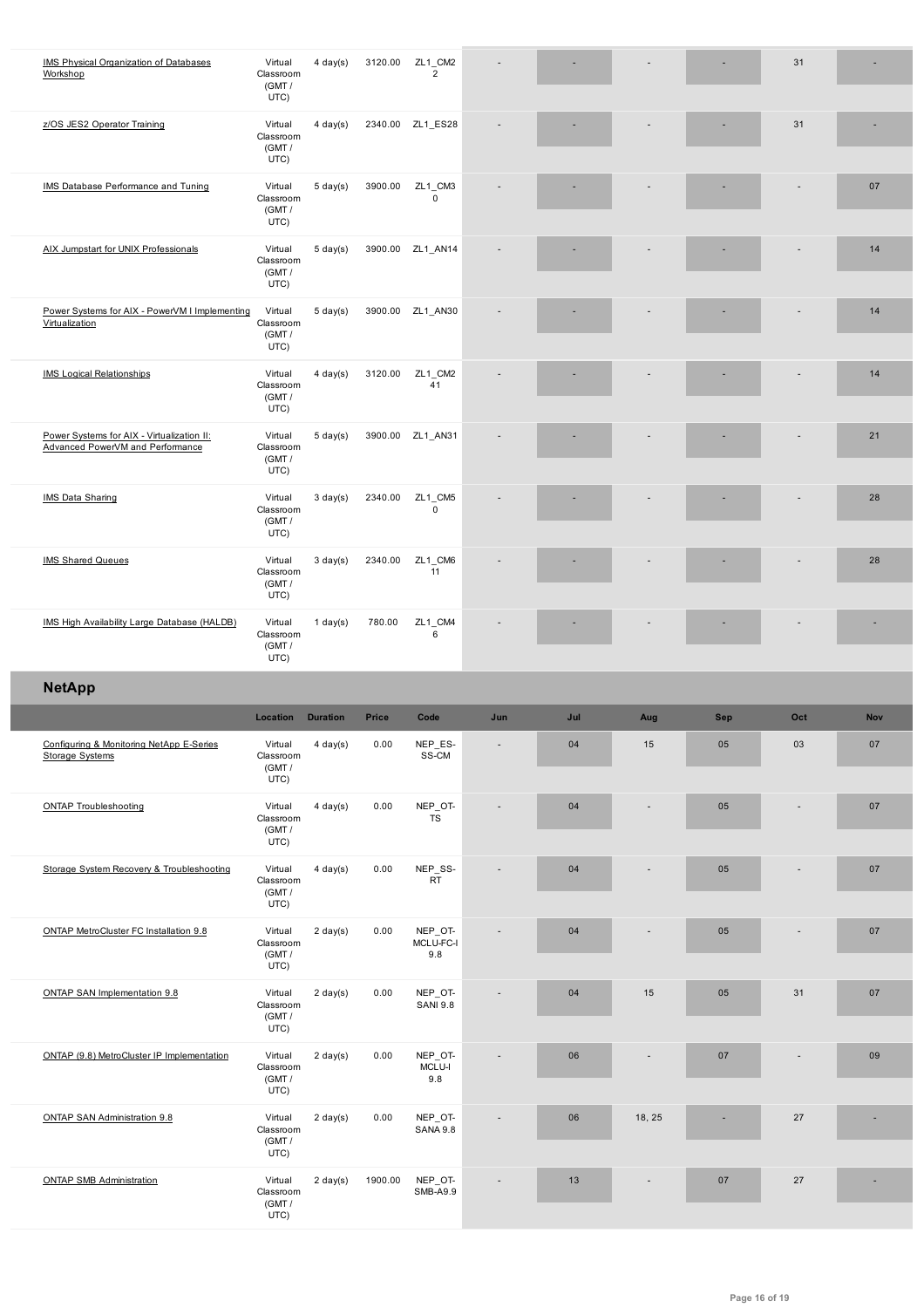|                                                                                | (GMT /<br>UTC)                         |                    |         |                             |                          |     |        |     |     |            |
|--------------------------------------------------------------------------------|----------------------------------------|--------------------|---------|-----------------------------|--------------------------|-----|--------|-----|-----|------------|
| z/OS JES2 Operator Training                                                    | Virtual<br>Classroom<br>(GMT /<br>UTC) | $4 \text{ day}(s)$ |         | 2340.00 ZL1_ES28            |                          |     |        |     | 31  |            |
| IMS Database Performance and Tuning                                            | Virtual<br>Classroom<br>(GMT /<br>UTC) | $5 \text{ day}(s)$ | 3900.00 | ZL1_CM3<br>0                |                          |     |        |     |     | 07         |
| AIX Jumpstart for UNIX Professionals                                           | Virtual<br>Classroom<br>(GMT /<br>UTC) | $5 \text{ day}(s)$ |         | 3900.00 ZL1_AN14            |                          |     |        |     |     | 14         |
| Power Systems for AIX - PowerVM I Implementing<br>Virtualization               | Virtual<br>Classroom<br>(GMT /<br>UTC) | $5 \text{ day}(s)$ |         | 3900.00 ZL1_AN30            |                          |     |        |     |     | 14         |
| <b>IMS Logical Relationships</b>                                               | Virtual<br>Classroom<br>(GMT /<br>UTC) | $4$ day(s)         | 3120.00 | ZL1_CM2<br>41               |                          |     |        |     |     | 14         |
| Power Systems for AIX - Virtualization II:<br>Advanced PowerVM and Performance | Virtual<br>Classroom<br>(GMT /<br>UTC) | $5 \text{ day}(s)$ |         | 3900.00 ZL1_AN31            |                          |     |        |     |     | 21         |
| IMS Data Sharing                                                               | Virtual<br>Classroom<br>(GMT /<br>UTC) | $3 \text{ day}(s)$ | 2340.00 | ZL1_CM5<br>$\mathbf 0$      |                          |     |        |     |     | 28         |
| <b>IMS Shared Queues</b>                                                       | Virtual<br>Classroom<br>(GMT /<br>UTC) | $3 \text{ day}(s)$ | 2340.00 | ZL1_CM6<br>11               |                          |     |        |     |     | 28         |
| IMS High Availability Large Database (HALDB)                                   | Virtual<br>Classroom<br>(GMT /         | $1$ day(s)         | 780.00  | ZL1_CM4<br>6                |                          |     |        |     |     |            |
|                                                                                | UTC)                                   |                    |         |                             |                          |     |        |     |     |            |
| <b>NetApp</b>                                                                  |                                        |                    |         |                             |                          |     |        |     |     |            |
|                                                                                | Location                               | <b>Duration</b>    | Price   | Code                        | Jun                      | Jul | Aug    | Sep | Oct | <b>Nov</b> |
| Configuring & Monitoring NetApp E-Series<br><b>Storage Systems</b>             | Virtual<br>Classroom<br>(GMT /<br>UTC) | $4 \,$ day(s)      | 0.00    | NEP_ES-<br>SS-CM            | $\overline{\phantom{a}}$ | 04  | 15     | 05  | 03  | 07         |
| <b>ONTAP Troubleshooting</b>                                                   | Virtual<br>Classroom<br>(GMT /<br>UTC) | $4 \text{ day}(s)$ | 0.00    | NEP_OT-<br><b>TS</b>        |                          | 04  |        | 05  |     | 07         |
| Storage System Recovery & Troubleshooting                                      | Virtual<br>Classroom<br>(GMT /<br>UTC) | $4 \text{ day}(s)$ | 0.00    | NEP_SS-<br><b>RT</b>        |                          | 04  |        | 05  |     | 07         |
| ONTAP MetroCluster FC Installation 9.8                                         | Virtual<br>Classroom<br>(GMT /<br>UTC) | $2 \text{ day}(s)$ | 0.00    | NEP_OT-<br>MCLU-FC-I<br>9.8 |                          | 04  |        | 05  |     | 07         |
| ONTAP SAN Implementation 9.8                                                   | Virtual<br>Classroom<br>(GMT /<br>UTC) | $2 \text{ day}(s)$ | 0.00    | NEP_OT-<br><b>SANI 9.8</b>  |                          | 04  | 15     | 05  | 31  | 07         |
| ONTAP (9.8) MetroCluster IP Implementation                                     | Virtual<br>Classroom<br>(GMT /<br>UTC) | $2 \text{ day}(s)$ | 0.00    | NEP_OT-<br>MCLU-I<br>9.8    |                          | 06  |        | 07  |     | 09         |
| ONTAP SAN Administration 9.8                                                   | Virtual<br>Classroom<br>(GMT /<br>UTC) | $2 \text{ day}(s)$ | 0.00    | NEP_OT-<br><b>SANA 9.8</b>  |                          | 06  | 18, 25 |     | 27  |            |

 $\overline{\phantom{a}}$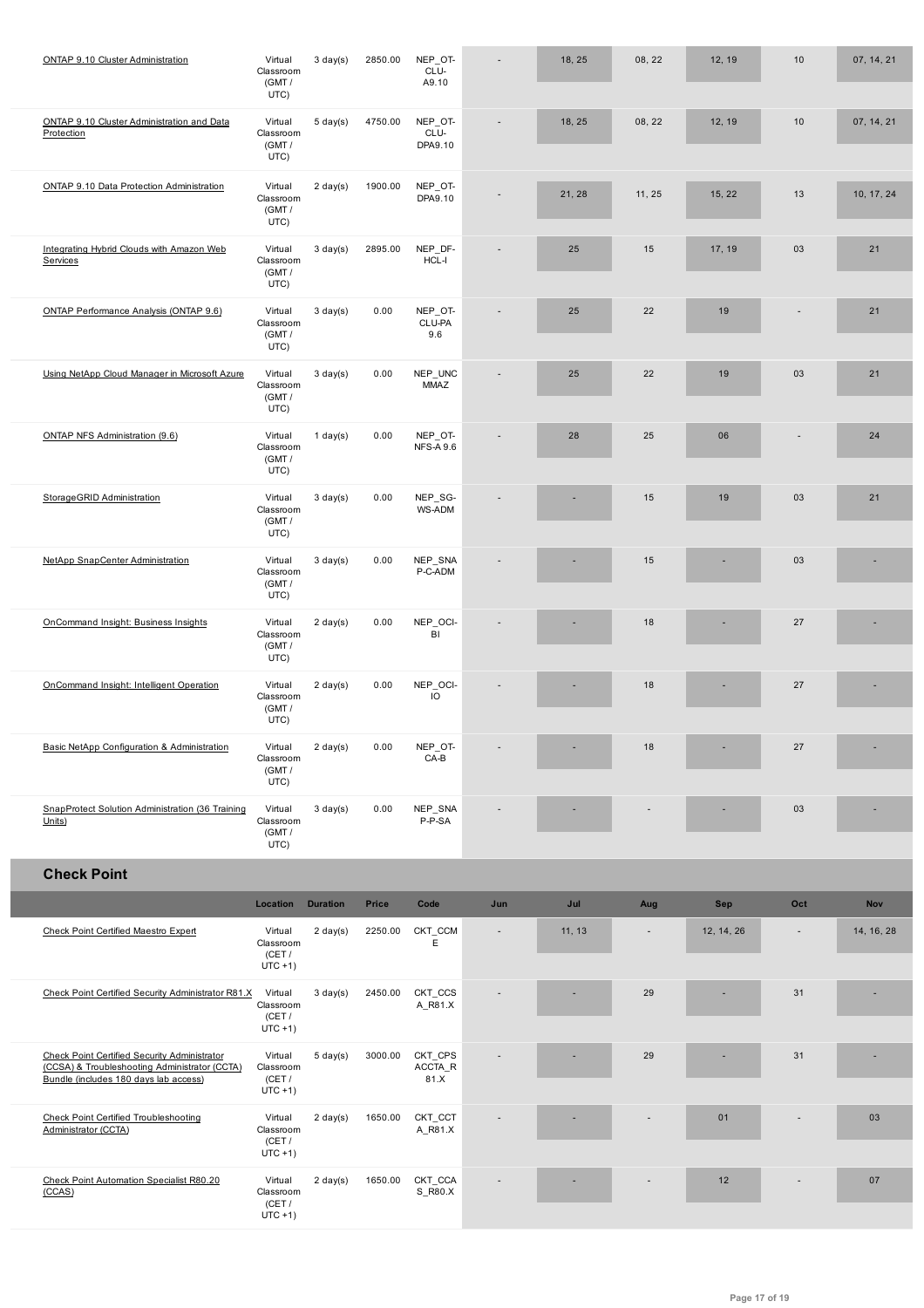|                                                                                                                                               | (GMT /<br>UTC)                               |                    |         | A9.10                       |                |        |        |            |        |            |
|-----------------------------------------------------------------------------------------------------------------------------------------------|----------------------------------------------|--------------------|---------|-----------------------------|----------------|--------|--------|------------|--------|------------|
| ONTAP 9.10 Cluster Administration and Data<br>Protection                                                                                      | Virtual<br>Classroom<br>(GMT /<br>UTC)       | $5 \text{ day}(s)$ | 4750.00 | NEP_OT-<br>CLU-<br>DPA9.10  |                | 18, 25 | 08, 22 | 12, 19     | 10     | 07, 14, 21 |
| ONTAP 9.10 Data Protection Administration                                                                                                     | Virtual<br>Classroom<br>(GMT /<br>UTC)       | $2 \text{ day}(s)$ | 1900.00 | NEP_OT-<br>DPA9.10          |                | 21, 28 | 11, 25 | 15, 22     | 13     | 10, 17, 24 |
| Integrating Hybrid Clouds with Amazon Web<br>Services                                                                                         | Virtual<br>Classroom<br>(GMT/<br>UTC)        | $3 \text{ day}(s)$ | 2895.00 | NEP_DF-<br>$HCL-I$          | ÷              | 25     | 15     | 17, 19     | 03     | 21         |
| ONTAP Performance Analysis (ONTAP 9.6)                                                                                                        | Virtual<br>Classroom<br>(GMT /<br>UTC)       | $3 \text{ day}(s)$ | 0.00    | NEP_OT-<br>CLU-PA<br>9.6    | ÷              | 25     | 22     | 19         |        | 21         |
| Using NetApp Cloud Manager in Microsoft Azure                                                                                                 | Virtual<br>Classroom<br>(GMT /<br>UTC)       | $3 \text{ day}(s)$ | 0.00    | NEP_UNC<br><b>MMAZ</b>      |                | 25     | 22     | 19         | 03     | 21         |
| ONTAP NFS Administration (9.6)                                                                                                                | Virtual<br>Classroom<br>(GMT/<br>UTC)        | $1$ day(s)         | 0.00    | NEP_OT-<br><b>NFS-A 9.6</b> | ÷              | 28     | 25     | 06         |        | 24         |
| StorageGRID Administration                                                                                                                    | Virtual<br>Classroom<br>(GMT /<br>UTC)       | $3 \text{ day}(s)$ | 0.00    | NEP_SG-<br>WS-ADM           |                |        | 15     | 19         | 03     | 21         |
| NetApp SnapCenter Administration                                                                                                              | Virtual<br>Classroom<br>(GMT /<br>UTC)       | $3 \text{ day}(s)$ | 0.00    | NEP_SNA<br>P-C-ADM          |                |        | 15     |            | 03     |            |
| OnCommand Insight: Business Insights                                                                                                          | Virtual<br>Classroom<br>(GMT/<br>UTC)        | $2 \text{ day}(s)$ | 0.00    | NEP_OCI-<br>BI              |                |        | 18     |            | 27     |            |
| OnCommand Insight: Intelligent Operation                                                                                                      | Virtual<br>Classroom<br>(GMT /<br>UTC)       | $2 \text{ day}(s)$ | 0.00    | NEP_OCI-<br>IO              |                |        | 18     |            | 27     |            |
| Basic NetApp Configuration & Administration                                                                                                   | Virtual<br>Classroom<br>(GMT/<br>UTC)        | $2 \text{ day}(s)$ | 0.00    | NEP_OT-<br>$CA-B$           |                |        | 18     |            | 27     |            |
| SnapProtect Solution Administration (36 Training<br>Units)                                                                                    | Virtual<br>Classroom<br>(GMT /<br>UTC)       | $3 \text{ day}(s)$ | 0.00    | NEP_SNA<br>P-P-SA           |                |        |        |            | 03     |            |
| <b>Check Point</b>                                                                                                                            |                                              |                    |         |                             |                |        |        |            |        |            |
|                                                                                                                                               | Location                                     | <b>Duration</b>    | Price   | Code                        | Jun            | Jul    | Aug    | <b>Sep</b> | Oct    | Nov        |
| <b>Check Point Certified Maestro Expert</b>                                                                                                   | Virtual<br>Classroom<br>(CET /<br>$UTC + 1)$ | $2 \text{ day}(s)$ | 2250.00 | CKT_CCM<br>E                | $\overline{a}$ | 11, 13 | $\sim$ | 12, 14, 26 | $\sim$ | 14, 16, 28 |
| Check Point Certified Security Administrator R81.X                                                                                            | Virtual<br>Classroom<br>(CET/<br>$UTC + 1)$  | $3 \text{ day}(s)$ | 2450.00 | CKT_CCS<br>A_R81.X          |                |        | 29     |            | 31     |            |
| <b>Check Point Certified Security Administrator</b><br>(CCSA) & Troubleshooting Administrator (CCTA)<br>Bundle (includes 180 days lab access) | Virtual<br>Classroom<br>(CET /<br>$UTC + 1)$ | $5 \text{ day}(s)$ | 3000.00 | CKT_CPS<br>ACCTA_R<br>81.X  |                |        | 29     |            | 31     |            |
| <b>Check Point Certified Troubleshooting</b><br>Administrator (CCTA)                                                                          | Virtual<br>Classroom<br>(CET /<br>$UTC + 1)$ | $2 \text{ day}(s)$ | 1650.00 | CKT_CCT<br>A_R81.X          |                |        |        | 01         |        | 03         |
| Check Point Automation Specialist R80.20<br>(CCAS)                                                                                            | Virtual<br>Classroom<br>(CET/<br>$UTC + 1)$  | $2 \text{ day}(s)$ | 1650.00 | CKT_CCA<br>S_R80.X          |                |        |        | 12         |        | 07         |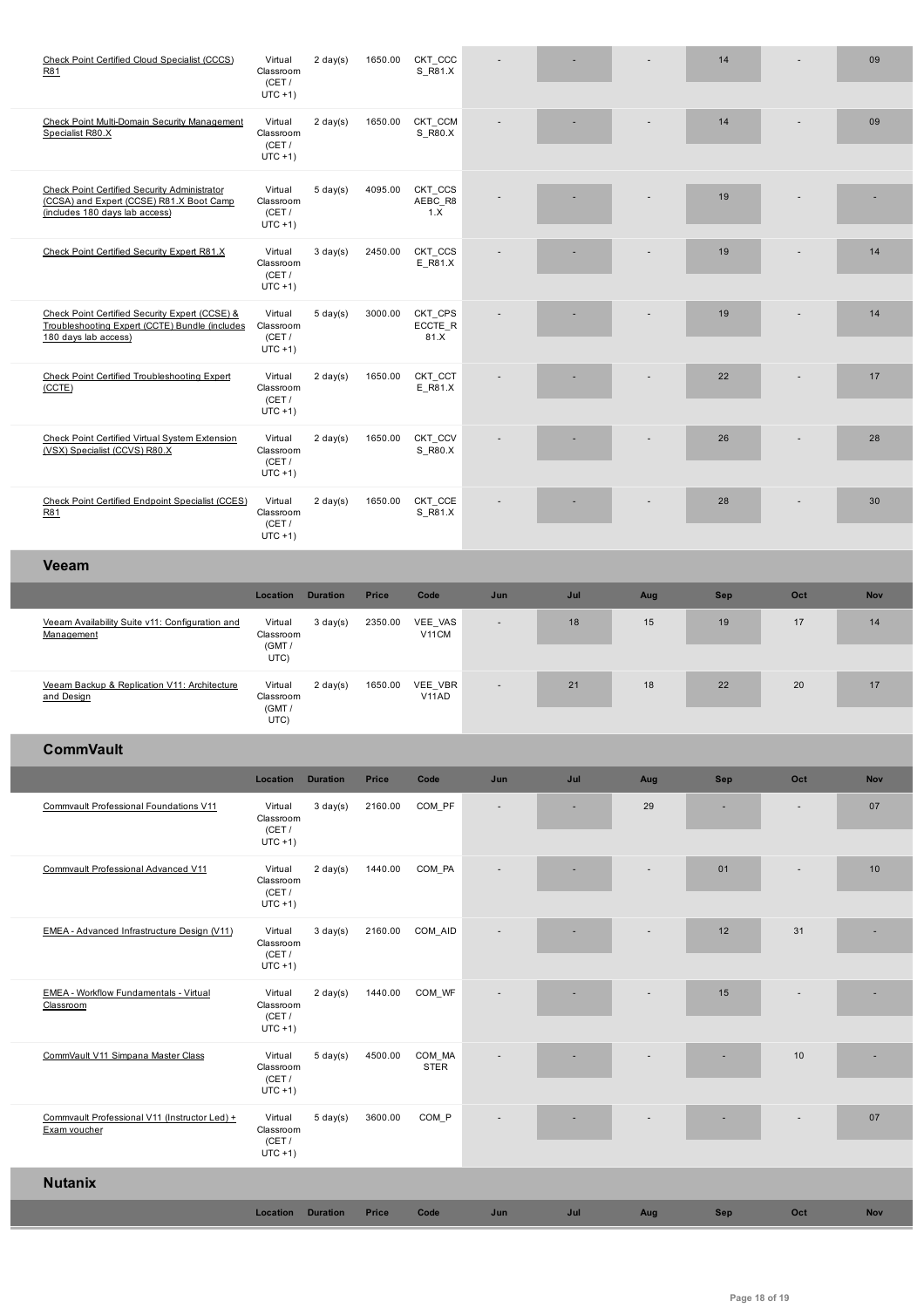|                                                                                                                            | (CET /<br>$UTC + 1)$                         |                    |              |                            |              |     |     |     |      |            |
|----------------------------------------------------------------------------------------------------------------------------|----------------------------------------------|--------------------|--------------|----------------------------|--------------|-----|-----|-----|------|------------|
| Check Point Multi-Domain Security Management<br>Specialist R80.X                                                           | Virtual<br>Classroom<br>(CET /<br>$UTC + 1)$ | $2 \text{ day}(s)$ | 1650.00      | CKT_CCM<br>S_R80.X         |              |     |     | 14  |      | 09         |
| Check Point Certified Security Administrator<br>(CCSA) and Expert (CCSE) R81.X Boot Camp<br>(includes 180 days lab access) | Virtual<br>Classroom<br>(CET /<br>$UTC + 1)$ | $5 \text{ day}(s)$ | 4095.00      | CKT_CCS<br>AEBC_R8<br>1.X  |              |     |     | 19  |      |            |
| Check Point Certified Security Expert R81.X                                                                                | Virtual<br>Classroom<br>(CET /<br>$UTC + 1)$ | $3 \text{ day}(s)$ | 2450.00      | CKT_CCS<br>$E_R81.X$       |              |     | ٠   | 19  |      | 14         |
| Check Point Certified Security Expert (CCSE) &<br>Troubleshooting Expert (CCTE) Bundle (includes<br>180 days lab access)   | Virtual<br>Classroom<br>(CET /<br>$UTC + 1)$ | $5 \text{ day}(s)$ | 3000.00      | CKT_CPS<br>ECCTE_R<br>81.X |              |     |     | 19  |      | 14         |
| Check Point Certified Troubleshooting Expert<br>(CCTE)                                                                     | Virtual<br>Classroom<br>(CET /<br>$UTC + 1)$ | $2 \text{ day}(s)$ | 1650.00      | CKT_CCT<br>E_R81.X         |              |     |     | 22  |      | 17         |
| Check Point Certified Virtual System Extension<br>(VSX) Specialist (CCVS) R80.X                                            | Virtual<br>Classroom<br>(CET /<br>$UTC + 1)$ | $2 \text{ day}(s)$ | 1650.00      | CKT_CCV<br>S_R80.X         |              |     |     | 26  |      | 28         |
| Check Point Certified Endpoint Specialist (CCES)<br>R81                                                                    | Virtual<br>Classroom<br>(CET /<br>$UTC + 1)$ | $2 \text{ day}(s)$ | 1650.00      | CKT_CCE<br>S_R81.X         |              |     |     | 28  |      | 30         |
| <b>Veeam</b>                                                                                                               |                                              |                    |              |                            |              |     |     |     |      |            |
|                                                                                                                            | Location                                     | <b>Duration</b>    | Price        | Code                       | Jun          | Jul | Aug | Sep | Oct  | <b>Nov</b> |
| Veeam Availability Suite v11: Configuration and<br>Management                                                              | Virtual<br>Classroom<br>(GMT /<br>UTC)       | $3 \text{ day}(s)$ | 2350.00      | VEE_VAS<br>V11CM           | $\centerdot$ | 18  | 15  | 19  | $17$ | 14         |
| Veeam Backup & Replication V11: Architecture<br>and Design                                                                 | Virtual<br>Classroom<br>(GMT /<br>UTC)       | $2 \text{ day}(s)$ | 1650.00      | VEE_VBR<br>V11AD           |              | 21  | 18  | 22  | 20   | 17         |
| <b>CommVault</b>                                                                                                           |                                              |                    |              |                            |              |     |     |     |      |            |
|                                                                                                                            | Location                                     | <b>Duration</b>    | <b>Price</b> | Code                       | Jun          | Jul | Aug | Sep | Oct  | Nov        |
| Commvault Professional Foundations V11                                                                                     | Virtual<br>Classroom<br>(CET /<br>$UTC + 1)$ | $3 \text{ day}(s)$ | 2160.00      | COM PF                     |              |     | 29  |     |      | 07         |
| Commvault Professional Advanced V11                                                                                        | Virtual<br>Classroom<br>(CET /<br>$UTC + 1)$ | $2 \text{ day}(s)$ | 1440.00      | COM PA                     |              |     |     | 01  |      | 10         |
| EMEA - Advanced Infrastructure Design (V11)                                                                                | Virtual<br>Classroom<br>(CET /<br>$UTC + 1)$ | $3 \text{ day}(s)$ | 2160.00      | COM_AID                    |              |     |     | 12  | 31   |            |
| EMEA - Workflow Fundamentals - Virtual<br>Classroom                                                                        | Virtual<br>Classroom<br>(CET /<br>$UTC + 1)$ | $2 \text{ day}(s)$ | 1440.00      | COM_WF                     |              |     |     | 15  |      |            |
| CommVault V11 Simpana Master Class                                                                                         | Virtual<br>Classroom<br>(CET/<br>$UTC + 1)$  | $5 \text{ day}(s)$ | 4500.00      | COM_MA<br><b>STER</b>      |              |     |     |     | 10   |            |
| Commvault Professional V11 (Instructor Led) +<br>Exam voucher                                                              | Virtual<br>Classroom<br>(CET /<br>$UTC + 1)$ | $5 \text{ day}(s)$ | 3600.00      | COM_P                      |              |     |     |     |      | 07         |
| <b>Nutanix</b>                                                                                                             |                                              |                    |              |                            |              |     |     |     |      |            |
|                                                                                                                            | Location                                     | <b>Duration</b>    | <b>Price</b> | Code                       | Jun          | Jul | Aug | Sep | Oct  | <b>Nov</b> |
|                                                                                                                            |                                              |                    |              |                            |              |     |     |     |      |            |